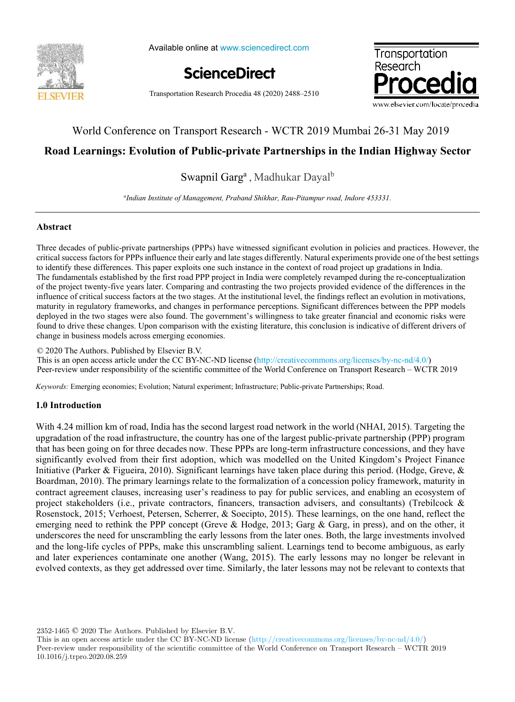

Available online at www.sciencedirect.com



Transportation Research Procedia 48 (2020) 2488–2510



# World Conference on Transport Research - WCTR 2019 Mumbai 26-31 May 2019

# **Road Learnings: Evolution of Public-private Partnerships in the Indian Highway Sector**

Swapnil Garg<sup>a</sup>, Madhukar Dayal<sup>b</sup>

*a Indian Institute of Management, Praband Shikhar, Rau-Pitampur road, Indore 453331.*

### **Abstract**

Three decades of public-private partnerships (PPPs) have witnessed significant evolution in policies and practices. However, the critical success factors for PPPs influence their early and late stages differently. Natural experiments provide one of the best settings to identify these differences. This paper exploits one such instance in the context of road project up gradations in India. The fundamentals established by the first road PPP project in India were completely revamped during the re-conceptualization of the project twenty-five years later. Comparing and contrasting the two projects provided evidence of the differences in the influence of critical success factors at the two stages. At the institutional level, the findings reflect an evolution in motivations, maturity in regulatory frameworks, and changes in performance perceptions. Significant differences between the PPP models deployed in the two stages were also found. The government's willingness to take greater financial and economic risks were found to drive these changes. Upon comparison with the existing literature, this conclusion is indicative of different drivers of change in business models across emerging economies.

© 2020 The Authors. Published by Elsevier B.V.

This is an open access article under the CC BY-NC-ND license (http://creativecommons.org/licenses/by-nc-nd/4.0/) Peer-review under responsibility of the scientific committee of the World Conference on Transport Research – WCTR 2019

*Keywords:* Emerging economies; Evolution; Natural experiment; Infrastructure; Public-private Partnerships; Road.

### **1.0 Introduction**

With 4.24 million km of road, India has the second largest road network in the world (NHAI, 2015). Targeting the upgradation of the road infrastructure, the country has one of the largest public-private partnership (PPP) program that has been going on for three decades now. These PPPs are long-term infrastructure concessions, and they have significantly evolved from their first adoption, which was modelled on the United Kingdom's Project Finance Initiative (Parker & Figueira, 2010). Significant learnings have taken place during this period. (Hodge, Greve,  $\&$ Boardman, 2010). The primary learnings relate to the formalization of a concession policy framework, maturity in contract agreement clauses, increasing user's readiness to pay for public services, and enabling an ecosystem of project stakeholders (i.e., private contractors, financers, transaction advisers, and consultants) (Trebilcock  $\&$ Rosenstock, 2015; Verhoest, Petersen, Scherrer, & Soecipto, 2015). These learnings, on the one hand, reflect the emerging need to rethink the PPP concept (Greve & Hodge, 2013; Garg & Garg, in press), and on the other, it underscores the need for unscrambling the early lessons from the later ones. Both, the large investments involved and the long-life cycles of PPPs, make this unscrambling salient. Learnings tend to become ambiguous, as early and later experiences contaminate one another (Wang, 2015). The early lessons may no longer be relevant in evolved contexts, as they get addressed over time. Similarly, the later lessons may not be relevant to contexts that

2352-1465 © 2020 The Authors. Published by Elsevier B.V.

This is an open access article under the CC BY-NC-ND license (http://creativecommons.org/licenses/by-nc-nd/4.0/) Peer-review under responsibility of the scientific committee of the World Conference on Transport Research – WCTR 2019 10.1016/j.trpro.2020.08.259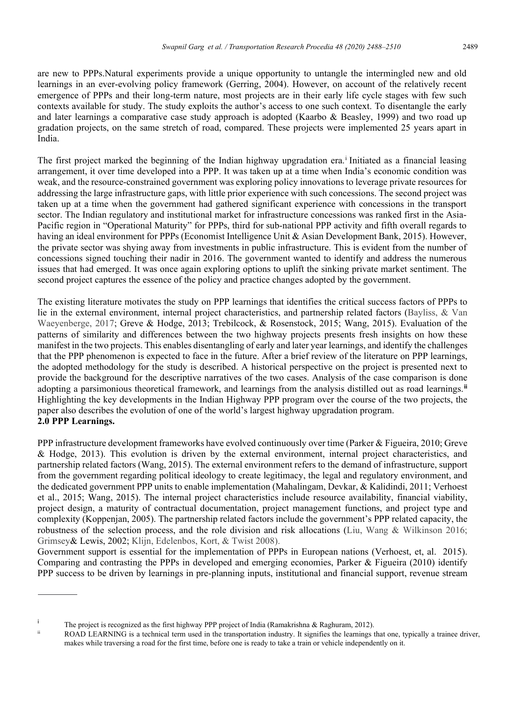are new to PPPs.Natural experiments provide a unique opportunity to untangle the intermingled new and old learnings in an ever-evolving policy framework (Gerring, 2004). However, on account of the relatively recent emergence of PPPs and their long-term nature, most projects are in their early life cycle stages with few such contexts available for study. The study exploits the author's access to one such context. To disentangle the early and later learnings a comparative case study approach is adopted (Kaarbo & Beasley, 1999) and two road up gradation projects, on the same stretch of road, compared. These projects were implemented 25 years apart in India.

The first project marked the beginning of the Indian highway upgradation era.<sup>i</sup> Initiated as a financial leasing arrangement, it over time developed into a PPP. It was taken up at a time when India's economic condition was weak, and the resource-constrained government was exploring policy innovations to leverage private resources for addressing the large infrastructure gaps, with little prior experience with such concessions. The second project was taken up at a time when the government had gathered significant experience with concessions in the transport sector. The Indian regulatory and institutional market for infrastructure concessions was ranked first in the Asia-Pacific region in "Operational Maturity" for PPPs, third for sub-national PPP activity and fifth overall regards to having an ideal environment for PPPs (Economist Intelligence Unit & Asian Development Bank, 2015). However, the private sector was shying away from investments in public infrastructure. This is evident from the number of concessions signed touching their nadir in 2016. The government wanted to identify and address the numerous issues that had emerged. It was once again exploring options to uplift the sinking private market sentiment. The second project captures the essence of the policy and practice changes adopted by the government.

The existing literature motivates the study on PPP learnings that identifies the critical success factors of PPPs to lie in the external environment, internal project characteristics, and partnership related factors (Bayliss, & Van Waeyenberge, 2017; Greve & Hodge, 2013; Trebilcock, & Rosenstock, 2015; Wang, 2015). Evaluation of the patterns of similarity and differences between the two highway projects presents fresh insights on how these manifest in the two projects. This enables disentangling of early and later year learnings, and identify the challenges that the PPP phenomenon is expected to face in the future. After a brief review of the literature on PPP learnings, the adopted methodology for the study is described. A historical perspective on the project is presented next to provide the background for the descriptive narratives of the two cases. Analysis of the case comparison is done adopting a parsimonious theoretical framework, and learnings from the analysis distilled out as road learnings.**ii** Highlighting the key developments in the Indian Highway PPP program over the course of the two projects, the paper also describes the evolution of one of the world's largest highway upgradation program. **2.0 PPP Learnings.** 

PPP infrastructure development frameworks have evolved continuously over time (Parker & Figueira, 2010; Greve & Hodge, 2013). This evolution is driven by the external environment, internal project characteristics, and partnership related factors (Wang, 2015). The external environment refers to the demand of infrastructure, support from the government regarding political ideology to create legitimacy, the legal and regulatory environment, and the dedicated government PPP units to enable implementation (Mahalingam, Devkar, & Kalidindi, 2011; Verhoest et al., 2015; Wang, 2015). The internal project characteristics include resource availability, financial viability, project design, a maturity of contractual documentation, project management functions, and project type and complexity (Koppenjan, 2005). The partnership related factors include the government's PPP related capacity, the robustness of the selection process, and the role division and risk allocations (Liu, Wang & Wilkinson 2016; Grimsey& Lewis, 2002; Klijn, Edelenbos, Kort, & Twist 2008).

Government support is essential for the implementation of PPPs in European nations (Verhoest, et, al. 2015). Comparing and contrasting the PPPs in developed and emerging economies, Parker & Figueira (2010) identify PPP success to be driven by learnings in pre-planning inputs, institutional and financial support, revenue stream

<sup>&</sup>lt;sup>i</sup><br>The project is recognized as the first highway PPP project of India (Ramakrishna & Raghuram, 2012).

ROAD LEARNING is a technical term used in the transportation industry. It signifies the learnings that one, typically a trainee driver, makes while traversing a road for the first time, before one is ready to take a train or vehicle independently on it.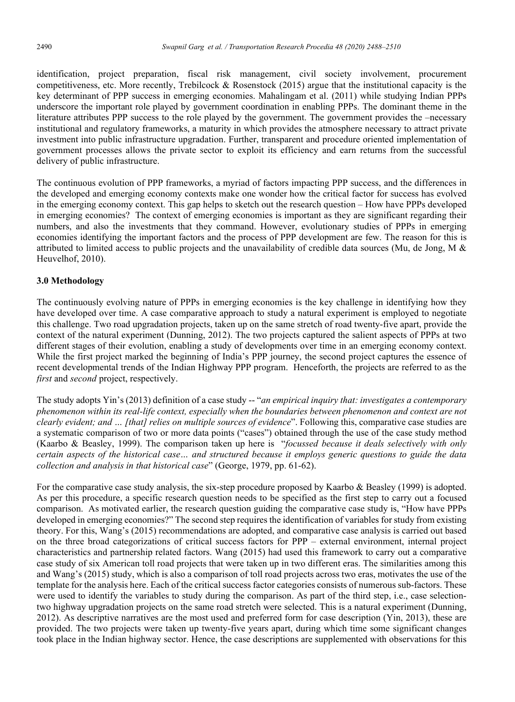identification, project preparation, fiscal risk management, civil society involvement, procurement competitiveness, etc. More recently, Trebilcock & Rosenstock (2015) argue that the institutional capacity is the key determinant of PPP success in emerging economies. Mahalingam et al. (2011) while studying Indian PPPs underscore the important role played by government coordination in enabling PPPs. The dominant theme in the literature attributes PPP success to the role played by the government. The government provides the –necessary institutional and regulatory frameworks, a maturity in which provides the atmosphere necessary to attract private investment into public infrastructure upgradation. Further, transparent and procedure oriented implementation of government processes allows the private sector to exploit its efficiency and earn returns from the successful delivery of public infrastructure.

The continuous evolution of PPP frameworks, a myriad of factors impacting PPP success, and the differences in the developed and emerging economy contexts make one wonder how the critical factor for success has evolved in the emerging economy context. This gap helps to sketch out the research question – How have PPPs developed in emerging economies? The context of emerging economies is important as they are significant regarding their numbers, and also the investments that they command. However, evolutionary studies of PPPs in emerging economies identifying the important factors and the process of PPP development are few. The reason for this is attributed to limited access to public projects and the unavailability of credible data sources (Mu, de Jong, M & Heuvelhof, 2010).

### **3.0 Methodology**

The continuously evolving nature of PPPs in emerging economies is the key challenge in identifying how they have developed over time. A case comparative approach to study a natural experiment is employed to negotiate this challenge. Two road upgradation projects, taken up on the same stretch of road twenty-five apart, provide the context of the natural experiment (Dunning, 2012). The two projects captured the salient aspects of PPPs at two different stages of their evolution, enabling a study of developments over time in an emerging economy context. While the first project marked the beginning of India's PPP journey, the second project captures the essence of recent developmental trends of the Indian Highway PPP program. Henceforth, the projects are referred to as the *first* and *second* project, respectively.

The study adopts Yin's (2013) definition of a case study -- "*an empirical inquiry that: investigates a contemporary phenomenon within its real-life context, especially when the boundaries between phenomenon and context are not clearly evident; and … [that] relies on multiple sources of evidence*". Following this, comparative case studies are a systematic comparison of two or more data points ("cases") obtained through the use of the case study method (Kaarbo & Beasley, 1999). The comparison taken up here is "*focussed because it deals selectively with only certain aspects of the historical case… and structured because it employs generic questions to guide the data collection and analysis in that historical case*" (George, 1979, pp. 61-62).

For the comparative case study analysis, the six-step procedure proposed by Kaarbo & Beasley (1999) is adopted. As per this procedure, a specific research question needs to be specified as the first step to carry out a focused comparison. As motivated earlier, the research question guiding the comparative case study is, "How have PPPs developed in emerging economies?" The second step requires the identification of variables for study from existing theory. For this, Wang's (2015) recommendations are adopted, and comparative case analysis is carried out based on the three broad categorizations of critical success factors for PPP – external environment, internal project characteristics and partnership related factors. Wang (2015) had used this framework to carry out a comparative case study of six American toll road projects that were taken up in two different eras. The similarities among this and Wang's (2015) study, which is also a comparison of toll road projects across two eras, motivates the use of the template for the analysis here. Each of the critical success factor categories consists of numerous sub-factors. These were used to identify the variables to study during the comparison. As part of the third step, i.e., case selectiontwo highway upgradation projects on the same road stretch were selected. This is a natural experiment (Dunning, 2012). As descriptive narratives are the most used and preferred form for case description (Yin, 2013), these are provided. The two projects were taken up twenty-five years apart, during which time some significant changes took place in the Indian highway sector. Hence, the case descriptions are supplemented with observations for this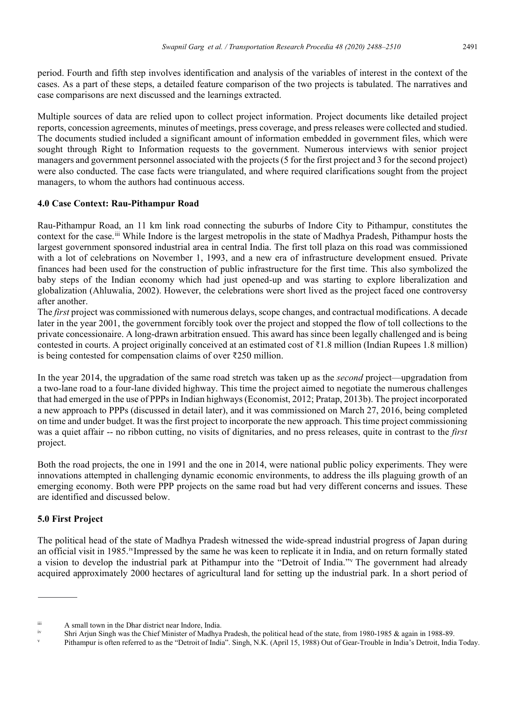period. Fourth and fifth step involves identification and analysis of the variables of interest in the context of the cases. As a part of these steps, a detailed feature comparison of the two projects is tabulated. The narratives and case comparisons are next discussed and the learnings extracted.

Multiple sources of data are relied upon to collect project information. Project documents like detailed project reports, concession agreements, minutes of meetings, press coverage, and press releases were collected and studied. The documents studied included a significant amount of information embedded in government files, which were sought through Right to Information requests to the government. Numerous interviews with senior project managers and government personnel associated with the projects (5 for the first project and 3 for the second project) were also conducted. The case facts were triangulated, and where required clarifications sought from the project managers, to whom the authors had continuous access.

## **4.0 Case Context: Rau-Pithampur Road**

Rau-Pithampur Road, an 11 km link road connecting the suburbs of Indore City to Pithampur, constitutes the context for the case.iii While Indore is the largest metropolis in the state of Madhya Pradesh, Pithampur hosts the largest government sponsored industrial area in central India. The first toll plaza on this road was commissioned with a lot of celebrations on November 1, 1993, and a new era of infrastructure development ensued. Private finances had been used for the construction of public infrastructure for the first time. This also symbolized the baby steps of the Indian economy which had just opened-up and was starting to explore liberalization and globalization (Ahluwalia, 2002). However, the celebrations were short lived as the project faced one controversy after another.

The *first* project was commissioned with numerous delays, scope changes, and contractual modifications. A decade later in the year 2001, the government forcibly took over the project and stopped the flow of toll collections to the private concessionaire. A long-drawn arbitration ensued. This award has since been legally challenged and is being contested in courts. A project originally conceived at an estimated cost of ₹1.8 million (Indian Rupees 1.8 million) is being contested for compensation claims of over ₹250 million.

In the year 2014, the upgradation of the same road stretch was taken up as the *second* project—upgradation from a two-lane road to a four-lane divided highway. This time the project aimed to negotiate the numerous challenges that had emerged in the use of PPPs in Indian highways (Economist, 2012; Pratap, 2013b). The project incorporated a new approach to PPPs (discussed in detail later), and it was commissioned on March 27, 2016, being completed on time and under budget. It was the first project to incorporate the new approach. This time project commissioning was a quiet affair -- no ribbon cutting, no visits of dignitaries, and no press releases, quite in contrast to the *first* project.

Both the road projects, the one in 1991 and the one in 2014, were national public policy experiments. They were innovations attempted in challenging dynamic economic environments, to address the ills plaguing growth of an emerging economy. Both were PPP projects on the same road but had very different concerns and issues. These are identified and discussed below.

# **5.0 First Project**

The political head of the state of Madhya Pradesh witnessed the wide-spread industrial progress of Japan during an official visit in 1985.<sup>iv</sup>Impressed by the same he was keen to replicate it in India, and on return formally stated a vision to develop the industrial park at Pithampur into the "Detroit of India."<sup>v</sup> The government had already acquired approximately 2000 hectares of agricultural land for setting up the industrial park. In a short period of

iii A small town in the Dhar district near Indore, India.

Shri Arjun Singh was the Chief Minister of Madhya Pradesh, the political head of the state, from 1980-1985 & again in 1988-89.

Pithampur is often referred to as the "Detroit of India". Singh, N.K. (April 15, 1988) Out of Gear-Trouble in India's Detroit, India Today.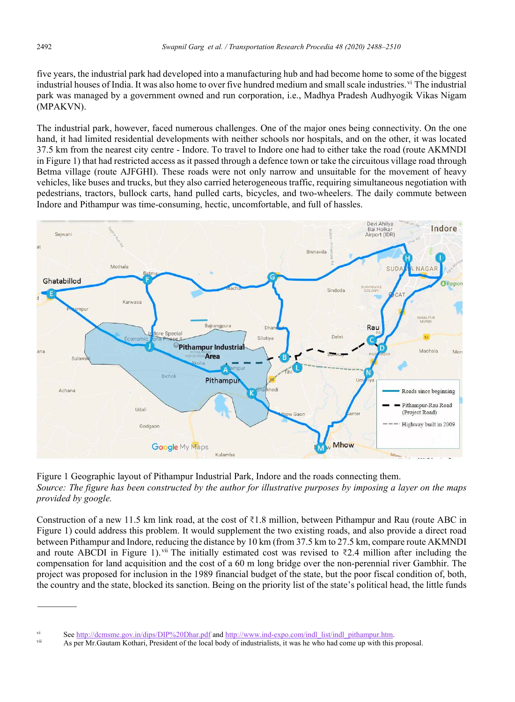five years, the industrial park had developed into a manufacturing hub and had become home to some of the biggest industrial houses of India. It was also home to over five hundred medium and small scale industries. <sup>vi</sup> The industrial park was managed by a government owned and run corporation, i.e., Madhya Pradesh Audhyogik Vikas Nigam (MPAKVN).

The industrial park, however, faced numerous challenges. One of the major ones being connectivity. On the one hand, it had limited residential developments with neither schools nor hospitals, and on the other, it was located 37.5 km from the nearest city centre - Indore. To travel to Indore one had to either take the road (route AKMNDI in Figure 1) that had restricted access as it passed through a defence town or take the circuitous village road through Betma village (route AJFGHI). These roads were not only narrow and unsuitable for the movement of heavy vehicles, like buses and trucks, but they also carried heterogeneous traffic, requiring simultaneous negotiation with pedestrians, tractors, bullock carts, hand pulled carts, bicycles, and two-wheelers. The daily commute between Indore and Pithampur was time-consuming, hectic, uncomfortable, and full of hassles.



Figure 1 Geographic layout of Pithampur Industrial Park, Indore and the roads connecting them. *Source: The figure has been constructed by the author for illustrative purposes by imposing a layer on the maps provided by google.* 

Construction of a new 11.5 km link road, at the cost of  $\bar{\tau}1.8$  million, between Pithampur and Rau (route ABC in Figure 1) could address this problem. It would supplement the two existing roads, and also provide a direct road between Pithampur and Indore, reducing the distance by 10 km (from 37.5 km to 27.5 km, compare route AKMNDI and route ABCDI in Figure 1).<sup>vii</sup> The initially estimated cost was revised to  $\overline{z}2.4$  million after including the compensation for land acquisition and the cost of a 60 m long bridge over the non-perennial river Gambhir. The project was proposed for inclusion in the 1989 financial budget of the state, but the poor fiscal condition of, both, the country and the state, blocked its sanction. Being on the priority list of the state's political head, the little funds

vi<br>See <u>http://dcmsme.gov.in/dips/DIP%20Dhar.pdf</u> and <u>http://www.ind-expo.com/indl\_list/indl\_pithampur.htm.</u><br>As **par Mr Gautam Kathari, Procident of the local hody of industrialists** it was ho who had some up with this

As per Mr.Gautam Kothari, President of the local body of industrialists, it was he who had come up with this proposal.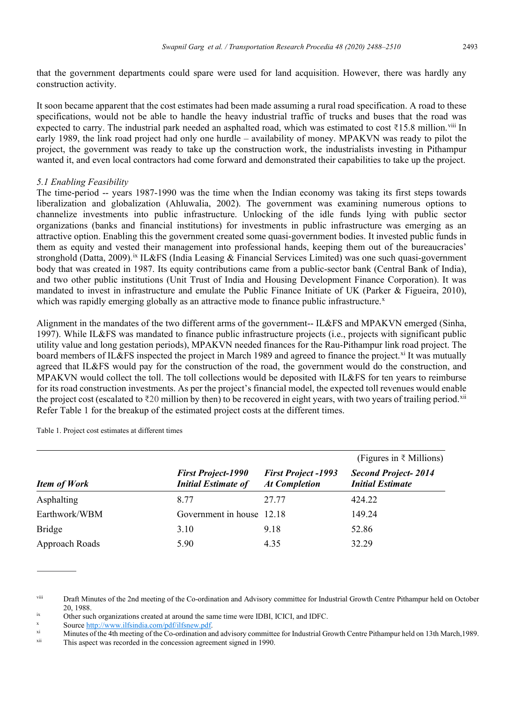that the government departments could spare were used for land acquisition. However, there was hardly any construction activity.

It soon became apparent that the cost estimates had been made assuming a rural road specification. A road to these specifications, would not be able to handle the heavy industrial traffic of trucks and buses that the road was expected to carry. The industrial park needed an asphalted road, which was estimated to cost ₹15.8 million.<sup>viii</sup> In early 1989, the link road project had only one hurdle – availability of money. MPAKVN was ready to pilot the project, the government was ready to take up the construction work, the industrialists investing in Pithampur wanted it, and even local contractors had come forward and demonstrated their capabilities to take up the project.

### *5.1 Enabling Feasibility*

The time-period -- years 1987-1990 was the time when the Indian economy was taking its first steps towards liberalization and globalization (Ahluwalia, 2002). The government was examining numerous options to channelize investments into public infrastructure. Unlocking of the idle funds lying with public sector organizations (banks and financial institutions) for investments in public infrastructure was emerging as an attractive option. Enabling this the government created some quasi-government bodies. It invested public funds in them as equity and vested their management into professional hands, keeping them out of the bureaucracies' stronghold (Datta, 2009).<sup>ix</sup> IL&FS (India Leasing & Financial Services Limited) was one such quasi-government body that was created in 1987. Its equity contributions came from a public-sector bank (Central Bank of India), and two other public institutions (Unit Trust of India and Housing Development Finance Corporation). It was mandated to invest in infrastructure and emulate the Public Finance Initiate of UK (Parker & Figueira, 2010), which was rapidly emerging globally as an attractive mode to finance public infrastructure. $x$ 

Alignment in the mandates of the two different arms of the government-- IL&FS and MPAKVN emerged (Sinha, 1997). While IL&FS was mandated to finance public infrastructure projects (i.e., projects with significant public utility value and long gestation periods), MPAKVN needed finances for the Rau-Pithampur link road project. The board members of IL&FS inspected the project in March 1989 and agreed to finance the project.<sup>xi</sup> It was mutually agreed that IL&FS would pay for the construction of the road, the government would do the construction, and MPAKVN would collect the toll. The toll collections would be deposited with IL&FS for ten years to reimburse for its road construction investments. As per the project's financial model, the expected toll revenues would enable the project cost (escalated to  $\bar{\zeta}20$  million by then) to be recovered in eight years, with two years of trailing period.<sup>xii</sup> Refer Table 1 for the breakup of the estimated project costs at the different times.

Table 1. Project cost estimates at different times

|                     |                                                         |                                                    | (Figures in $\bar{\tau}$ Millions)                    |
|---------------------|---------------------------------------------------------|----------------------------------------------------|-------------------------------------------------------|
| <b>Item of Work</b> | <b>First Project-1990</b><br><b>Initial Estimate of</b> | <b>First Project -1993</b><br><b>At Completion</b> | <b>Second Project-2014</b><br><b>Initial Estimate</b> |
| Asphalting          | 8.77                                                    | 27.77                                              | 424.22                                                |
| Earthwork/WBM       | Government in house 12.18                               |                                                    | 149.24                                                |
| <b>Bridge</b>       | 3.10                                                    | 9.18                                               | 52.86                                                 |
| Approach Roads      | 5.90                                                    | 4.35                                               | 32.29                                                 |

x Source  $\frac{http://www.ilfsindia.com/pdf/ilfsnew.pdf}{Minutce of the 4th meotine of the Co.$ 

viii Draft Minutes of the 2nd meeting of the Co-ordination and Advisory committee for Industrial Growth Centre Pithampur held on October 20, 1988.

ix Other such organizations created at around the same time were IDBI, ICICI, and IDFC.

 $x_i$  Minutes of the 4th meeting of the Co-ordination and advisory committee for Industrial Growth Centre Pithampur held on 13th March,1989.

This aspect was recorded in the concession agreement signed in 1990.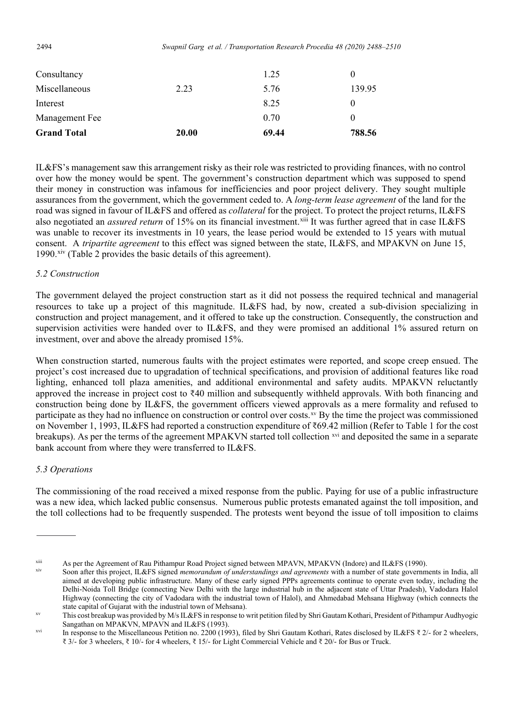| Consultancy        |       | 1.25  | $\theta$ |
|--------------------|-------|-------|----------|
| Miscellaneous      | 2.23  | 5.76  | 139.95   |
| Interest           |       | 8.25  | $\theta$ |
| Management Fee     |       | 0.70  | $\theta$ |
| <b>Grand Total</b> | 20.00 | 69.44 | 788.56   |

IL&FS's management saw this arrangement risky as their role was restricted to providing finances, with no control over how the money would be spent. The government's construction department which was supposed to spend their money in construction was infamous for inefficiencies and poor project delivery. They sought multiple assurances from the government, which the government ceded to. A *long-term lease agreement* of the land for the road was signed in favour of IL&FS and offered as *collateral* for the project. To protect the project returns, IL&FS also negotiated an *assured return* of 15% on its financial investment.xiii It was further agreed that in case IL&FS was unable to recover its investments in 10 years, the lease period would be extended to 15 years with mutual consent. A *tripartite agreement* to this effect was signed between the state, IL&FS, and MPAKVN on June 15, 1990.<sup>xiv</sup> (Table 2 provides the basic details of this agreement).

## *5.2 Construction*

The government delayed the project construction start as it did not possess the required technical and managerial resources to take up a project of this magnitude. IL&FS had, by now, created a sub-division specializing in construction and project management, and it offered to take up the construction. Consequently, the construction and supervision activities were handed over to IL&FS, and they were promised an additional 1% assured return on investment, over and above the already promised 15%.

When construction started, numerous faults with the project estimates were reported, and scope creep ensued. The project's cost increased due to upgradation of technical specifications, and provision of additional features like road lighting, enhanced toll plaza amenities, and additional environmental and safety audits. MPAKVN reluctantly approved the increase in project cost to ₹40 million and subsequently withheld approvals. With both financing and construction being done by IL&FS, the government officers viewed approvals as a mere formality and refused to participate as they had no influence on construction or control over costs.xv By the time the project was commissioned on November 1, 1993, IL&FS had reported a construction expenditure of ₹69.42 million (Refer to Table 1 for the cost breakups). As per the terms of the agreement MPAKVN started toll collection xvi and deposited the same in a separate bank account from where they were transferred to IL&FS.

### *5.3 Operations*

The commissioning of the road received a mixed response from the public. Paying for use of a public infrastructure was a new idea, which lacked public consensus. Numerous public protests emanated against the toll imposition, and the toll collections had to be frequently suspended. The protests went beyond the issue of toll imposition to claims

 $x$ <sup>xiii</sup> As per the Agreement of Rau Pithampur Road Project signed between MPAVN, MPAKVN (Indore) and IL&FS (1990).

Soon after this project, IL&FS signed *memorandum of understandings and agreements* with a number of state governments in India, all aimed at developing public infrastructure. Many of these early signed PPPs agreements continue to operate even today, including the Delhi-Noida Toll Bridge (connecting New Delhi with the large industrial hub in the adjacent state of Uttar Pradesh), Vadodara Halol Highway (connecting the city of Vadodara with the industrial town of Halol), and Ahmedabad Mehsana Highway (which connects the state capital of Gujarat with the industrial town of Mehsana).

xv This cost breakup was provided by M/s IL&FS in response to writ petition filed by Shri Gautam Kothari, President of Pithampur Audhyogic Sangathan on MPAKVN, MPAVN and IL&FS (1993).

xvi In response to the Miscellaneous Petition no. 2200 (1993), filed by Shri Gautam Kothari, Rates disclosed by IL&FS ₹ 2/- for 2 wheelers, ₹ 3/- for 3 wheelers, ₹ 10/- for 4 wheelers, ₹ 15/- for Light Commercial Vehicle and ₹ 20/- for Bus or Truck.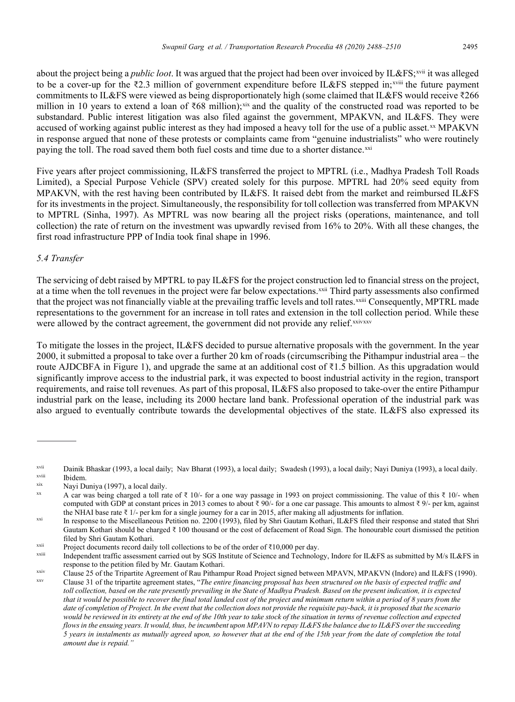about the project being a *public loot*. It was argued that the project had been over invoiced by IL&FS;<sup>xvii</sup> it was alleged to be a cover-up for the  $\Sigma$ 2.3 million of government expenditure before IL&FS stepped in; <sup>xviii</sup> the future payment commitments to IL&FS were viewed as being disproportionately high (some claimed that IL&FS would receive ₹266 million in 10 years to extend a loan of  $\bar{x}68$  million); xix and the quality of the constructed road was reported to be substandard. Public interest litigation was also filed against the government, MPAKVN, and IL&FS. They were accused of working against public interest as they had imposed a heavy toll for the use of a public asset. $^{xx}$  MPAKVN in response argued that none of these protests or complaints came from "genuine industrialists" who were routinely paying the toll. The road saved them both fuel costs and time due to a shorter distance.<sup>xxi</sup>

Five years after project commissioning, IL&FS transferred the project to MPTRL (i.e., Madhya Pradesh Toll Roads Limited), a Special Purpose Vehicle (SPV) created solely for this purpose. MPTRL had 20% seed equity from MPAKVN, with the rest having been contributed by IL&FS. It raised debt from the market and reimbursed IL&FS for its investments in the project. Simultaneously, the responsibility for toll collection was transferred from MPAKVN to MPTRL (Sinha, 1997). As MPTRL was now bearing all the project risks (operations, maintenance, and toll collection) the rate of return on the investment was upwardly revised from 16% to 20%. With all these changes, the first road infrastructure PPP of India took final shape in 1996.

### *5.4 Transfer*

The servicing of debt raised by MPTRL to pay IL&FS for the project construction led to financial stress on the project, at a time when the toll revenues in the project were far below expectations.<sup>xxii</sup> Third party assessments also confirmed that the project was not financially viable at the prevailing traffic levels and toll rates. xxiii Consequently, MPTRL made representations to the government for an increase in toll rates and extension in the toll collection period. While these were allowed by the contract agreement, the government did not provide any relief.xxivxxv

To mitigate the losses in the project, IL&FS decided to pursue alternative proposals with the government. In the year 2000, it submitted a proposal to take over a further 20 km of roads (circumscribing the Pithampur industrial area – the route AJDCBFA in Figure 1), and upgrade the same at an additional cost of  $\bar{\tau}$ 1.5 billion. As this upgradation would significantly improve access to the industrial park, it was expected to boost industrial activity in the region, transport requirements, and raise toll revenues. As part of this proposal, IL&FS also proposed to take-over the entire Pithampur industrial park on the lease, including its 2000 hectare land bank. Professional operation of the industrial park was also argued to eventually contribute towards the developmental objectives of the state. IL&FS also expressed its

xvii Dainik Bhaskar (1993, a local daily; Nav Bharat (1993), a local daily; Swadesh (1993), a local daily; Nayi Duniya (1993), a local daily.<br>xviii Raidam  $x$ <sup>xviii</sup> Ibidem.

 $\frac{x}{x}$  Nayi Duniya (1997), a local daily.

A car was being charged a toll rate of ₹ 10/- for a one way passage in 1993 on project commissioning. The value of this ₹ 10/- when computed with GDP at constant prices in 2013 comes to about ₹ 90/- for a one car passage. This amounts to almost ₹ 9/- per km, against the NHAI base rate ₹ 1/- per km for a single journey for a car in 2015, after making all adjustments for inflation.

xxi In response to the Miscellaneous Petition no. 2200 (1993), filed by Shri Gautam Kothari, IL&FS filed their response and stated that Shri Gautam Kothari should be charged ₹ 100 thousand or the cost of defacement of Road Sign. The honourable court dismissed the petition filed by Shri Gautam Kothari.

 $\frac{xxii}{2}$  Project documents record daily toll collections to be of the order of ₹10,000 per day.

Independent traffic assessment carried out by SGS Institute of Science and Technology, Indore for IL&FS as submitted by M/s IL&FS in response to the petition filed by Mr. Gautam Kothari.

 $\frac{x x}{x}$  Clause 25 of the Tripartite Agreement of Rau Pithampur Road Project signed between MPAVN, MPAKVN (Indore) and IL&FS (1990).

Clause 31 of the tripartite agreement states, "The entire financing proposal has been structured on the basis of expected traffic and *toll collection, based on the rate presently prevailing in the State of Madhya Pradesh. Based on the present indication, it is expected that it would be possible to recover the final total landed cost of the project and minimum return within a period of 8 years from the* date of completion of Project. In the event that the collection does not provide the requisite pay-back, it is proposed that the scenario *would be reviewed in its entirety at the end of the 10th year to take stock of the situation in terms of revenue collection and expected flows in the ensuing years. It would, thus, be incumbent upon MPAVN to repay IL&FS the balance due to IL&FS over the succeeding 5 years in instalments as mutually agreed upon, so however that at the end of the 15th year from the date of completion the total amount due is repaid."*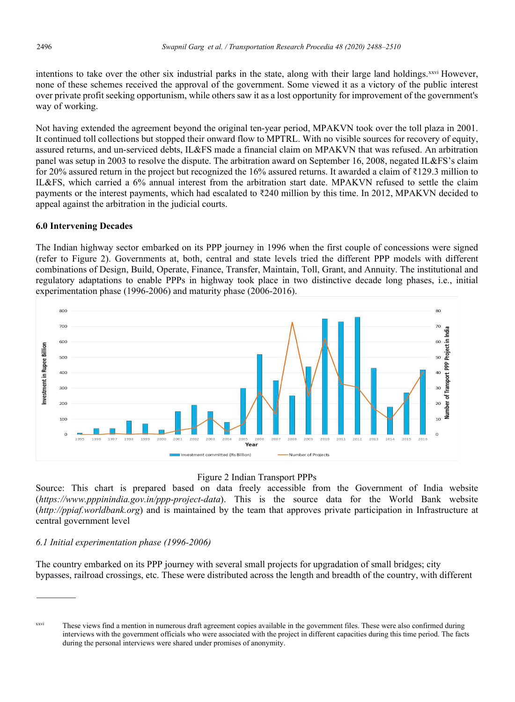intentions to take over the other six industrial parks in the state, along with their large land holdings.<sup>xxvi</sup> However, none of these schemes received the approval of the government. Some viewed it as a victory of the public interest over private profit seeking opportunism, while others saw it as a lost opportunity for improvement of the government's way of working.

Not having extended the agreement beyond the original ten-year period, MPAKVN took over the toll plaza in 2001. It continued toll collections but stopped their onward flow to MPTRL. With no visible sources for recovery of equity, assured returns, and un-serviced debts, IL&FS made a financial claim on MPAKVN that was refused. An arbitration panel was setup in 2003 to resolve the dispute. The arbitration award on September 16, 2008, negated IL&FS's claim for 20% assured return in the project but recognized the 16% assured returns. It awarded a claim of ₹129.3 million to IL&FS, which carried a 6% annual interest from the arbitration start date. MPAKVN refused to settle the claim payments or the interest payments, which had escalated to ₹240 million by this time. In 2012, MPAKVN decided to appeal against the arbitration in the judicial courts.

### **6.0 Intervening Decades**

The Indian highway sector embarked on its PPP journey in 1996 when the first couple of concessions were signed (refer to Figure 2). Governments at, both, central and state levels tried the different PPP models with different combinations of Design, Build, Operate, Finance, Transfer, Maintain, Toll, Grant, and Annuity. The institutional and regulatory adaptations to enable PPPs in highway took place in two distinctive decade long phases, i.e., initial experimentation phase (1996-2006) and maturity phase (2006-2016).



Figure 2 Indian Transport PPPs

Source: This chart is prepared based on data freely accessible from the Government of India website (*https://www.pppinindia.gov.in/ppp-project-data*). This is the source data for the World Bank website (*http://ppiaf.worldbank.org*) and is maintained by the team that approves private participation in Infrastructure at central government level

# *6.1 Initial experimentation phase (1996-2006)*

The country embarked on its PPP journey with several small projects for upgradation of small bridges; city bypasses, railroad crossings, etc. These were distributed across the length and breadth of the country, with different

xxvi These views find a mention in numerous draft agreement copies available in the government files. These were also confirmed during interviews with the government officials who were associated with the project in different capacities during this time period. The facts during the personal interviews were shared under promises of anonymity.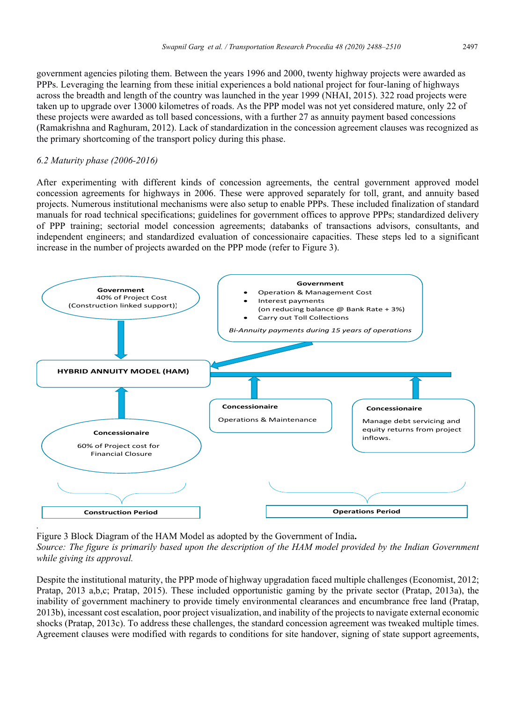government agencies piloting them. Between the years 1996 and 2000, twenty highway projects were awarded as PPPs. Leveraging the learning from these initial experiences a bold national project for four-laning of highways across the breadth and length of the country was launched in the year 1999 (NHAI, 2015). 322 road projects were taken up to upgrade over 13000 kilometres of roads. As the PPP model was not yet considered mature, only 22 of these projects were awarded as toll based concessions, with a further 27 as annuity payment based concessions (Ramakrishna and Raghuram, 2012). Lack of standardization in the concession agreement clauses was recognized as the primary shortcoming of the transport policy during this phase.

### *6.2 Maturity phase (2006-2016)*

After experimenting with different kinds of concession agreements, the central government approved model concession agreements for highways in 2006. These were approved separately for toll, grant, and annuity based projects. Numerous institutional mechanisms were also setup to enable PPPs. These included finalization of standard manuals for road technical specifications; guidelines for government offices to approve PPPs; standardized delivery of PPP training; sectorial model concession agreements; databanks of transactions advisors, consultants, and independent engineers; and standardized evaluation of concessionaire capacities. These steps led to a significant increase in the number of projects awarded on the PPP mode (refer to Figure 3).



Figure 3 Block Diagram of the HAM Model as adopted by the Government of India**.** 

*Source: The figure is primarily based upon the description of the HAM model provided by the Indian Government while giving its approval.* 

Despite the institutional maturity, the PPP mode of highway upgradation faced multiple challenges (Economist, 2012; Pratap, 2013 a,b,c; Pratap, 2015). These included opportunistic gaming by the private sector (Pratap, 2013a), the inability of government machinery to provide timely environmental clearances and encumbrance free land (Pratap, 2013b), incessant cost escalation, poor project visualization, and inability of the projects to navigate external economic shocks (Pratap, 2013c). To address these challenges, the standard concession agreement was tweaked multiple times. Agreement clauses were modified with regards to conditions for site handover, signing of state support agreements,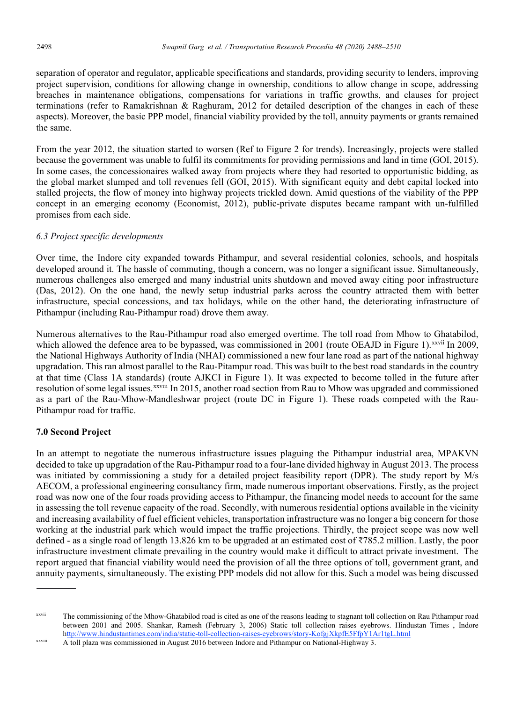separation of operator and regulator, applicable specifications and standards, providing security to lenders, improving project supervision, conditions for allowing change in ownership, conditions to allow change in scope, addressing breaches in maintenance obligations, compensations for variations in traffic growths, and clauses for project terminations (refer to Ramakrishnan & Raghuram, 2012 for detailed description of the changes in each of these aspects). Moreover, the basic PPP model, financial viability provided by the toll, annuity payments or grants remained the same.

From the year 2012, the situation started to worsen (Ref to Figure 2 for trends). Increasingly, projects were stalled because the government was unable to fulfil its commitments for providing permissions and land in time (GOI, 2015). In some cases, the concessionaires walked away from projects where they had resorted to opportunistic bidding, as the global market slumped and toll revenues fell (GOI, 2015). With significant equity and debt capital locked into stalled projects, the flow of money into highway projects trickled down. Amid questions of the viability of the PPP concept in an emerging economy (Economist, 2012), public-private disputes became rampant with un-fulfilled promises from each side.

## *6.3 Project specific developments*

Over time, the Indore city expanded towards Pithampur, and several residential colonies, schools, and hospitals developed around it. The hassle of commuting, though a concern, was no longer a significant issue. Simultaneously, numerous challenges also emerged and many industrial units shutdown and moved away citing poor infrastructure (Das, 2012). On the one hand, the newly setup industrial parks across the country attracted them with better infrastructure, special concessions, and tax holidays, while on the other hand, the deteriorating infrastructure of Pithampur (including Rau-Pithampur road) drove them away.

Numerous alternatives to the Rau-Pithampur road also emerged overtime. The toll road from Mhow to Ghatabilod, which allowed the defence area to be bypassed, was commissioned in 2001 (route OEAJD in Figure 1). xxvii In 2009, resolution of some legal issues. XXViii In 2015, another road section from Rau to Mhow was upgraded and commissioned the National Highways Authority of India (NHAI) commissioned a new four lane road as part of the national highway upgradation. This ran almost parallel to the Rau-Pitampur road. This was built to the best road standards in the country at that time (Class 1A standards) (route AJKCI in Figure 1). It was expected to become tolled in the future after as a part of the Rau-Mhow-Mandleshwar project (route DC in Figure 1). These roads competed with the Rau-Pithampur road for traffic.

# **7.0 Second Project**

In an attempt to negotiate the numerous infrastructure issues plaguing the Pithampur industrial area, MPAKVN decided to take up upgradation of the Rau-Pithampur road to a four-lane divided highway in August 2013. The process was initiated by commissioning a study for a detailed project feasibility report (DPR). The study report by M/s AECOM, a professional engineering consultancy firm, made numerous important observations. Firstly, as the project road was now one of the four roads providing access to Pithampur, the financing model needs to account for the same in assessing the toll revenue capacity of the road. Secondly, with numerous residential options available in the vicinity and increasing availability of fuel efficient vehicles, transportation infrastructure was no longer a big concern for those working at the industrial park which would impact the traffic projections. Thirdly, the project scope was now well defined - as a single road of length 13.826 km to be upgraded at an estimated cost of ₹785.2 million. Lastly, the poor infrastructure investment climate prevailing in the country would make it difficult to attract private investment. The report argued that financial viability would need the provision of all the three options of toll, government grant, and annuity payments, simultaneously. The existing PPP models did not allow for this. Such a model was being discussed

xxvii The commissioning of the Mhow-Ghatabilod road is cited as one of the reasons leading to stagnant toll collection on Rau Pithampur road between 2001 and 2005. Shankar, Ramesh (February 3, 2006) Static toll collection raises eyebrows. Hindustan Times , Indore http://www.hindustantimes.com/india/static-toll-collection-raises-eyebrows/story-KofgjXkpfE5FfpY1Ar1tgL.html

xxviii A toll plaza was commissioned in August 2016 between Indore and Pithampur on National-Highway 3.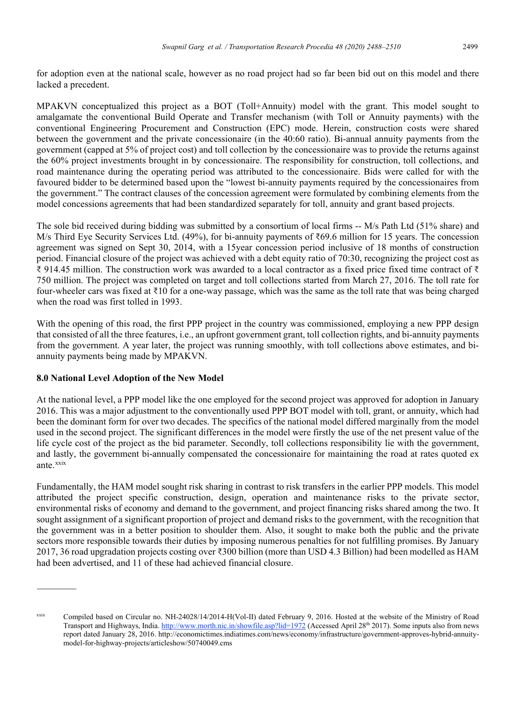for adoption even at the national scale, however as no road project had so far been bid out on this model and there lacked a precedent.

MPAKVN conceptualized this project as a BOT (Toll+Annuity) model with the grant. This model sought to amalgamate the conventional Build Operate and Transfer mechanism (with Toll or Annuity payments) with the conventional Engineering Procurement and Construction (EPC) mode. Herein, construction costs were shared between the government and the private concessionaire (in the 40:60 ratio). Bi-annual annuity payments from the government (capped at 5% of project cost) and toll collection by the concessionaire was to provide the returns against the 60% project investments brought in by concessionaire. The responsibility for construction, toll collections, and road maintenance during the operating period was attributed to the concessionaire. Bids were called for with the favoured bidder to be determined based upon the "lowest bi-annuity payments required by the concessionaires from the government." The contract clauses of the concession agreement were formulated by combining elements from the model concessions agreements that had been standardized separately for toll, annuity and grant based projects.

The sole bid received during bidding was submitted by a consortium of local firms -- M/s Path Ltd (51% share) and M/s Third Eye Security Services Ltd. (49%), for bi-annuity payments of ₹69.6 million for 15 years. The concession agreement was signed on Sept 30, 2014, with a 15year concession period inclusive of 18 months of construction period. Financial closure of the project was achieved with a debt equity ratio of 70:30, recognizing the project cost as ₹ 914.45 million. The construction work was awarded to a local contractor as a fixed price fixed time contract of ₹ 750 million. The project was completed on target and toll collections started from March 27, 2016. The toll rate for four-wheeler cars was fixed at ₹10 for a one-way passage, which was the same as the toll rate that was being charged when the road was first tolled in 1993.

With the opening of this road, the first PPP project in the country was commissioned, employing a new PPP design that consisted of all the three features, i.e., an upfront government grant, toll collection rights, and bi-annuity payments from the government. A year later, the project was running smoothly, with toll collections above estimates, and biannuity payments being made by MPAKVN.

### **8.0 National Level Adoption of the New Model**

At the national level, a PPP model like the one employed for the second project was approved for adoption in January 2016. This was a major adjustment to the conventionally used PPP BOT model with toll, grant, or annuity, which had been the dominant form for over two decades. The specifics of the national model differed marginally from the model used in the second project. The significant differences in the model were firstly the use of the net present value of the life cycle cost of the project as the bid parameter. Secondly, toll collections responsibility lie with the government, and lastly, the government bi-annually compensated the concessionaire for maintaining the road at rates quoted ex ante.<sup>xxix</sup>

Fundamentally, the HAM model sought risk sharing in contrast to risk transfers in the earlier PPP models. This model attributed the project specific construction, design, operation and maintenance risks to the private sector, environmental risks of economy and demand to the government, and project financing risks shared among the two. It sought assignment of a significant proportion of project and demand risks to the government, with the recognition that the government was in a better position to shoulder them. Also, it sought to make both the public and the private sectors more responsible towards their duties by imposing numerous penalties for not fulfilling promises. By January 2017, 36 road upgradation projects costing over ₹300 billion (more than USD 4.3 Billion) had been modelled as HAM had been advertised, and 11 of these had achieved financial closure.

xxix Compiled based on Circular no. NH-24028/14/2014-H(Vol-II) dated February 9, 2016. Hosted at the website of the Ministry of Road Transport and Highways, India. http://www.morth.nic.in/showfile.asp?lid=1972 (Accessed April 28<sup>th</sup> 2017). Some inputs also from news report dated January 28, 2016. http://economictimes.indiatimes.com/news/economy/infrastructure/government-approves-hybrid-annuitymodel-for-highway-projects/articleshow/50740049.cms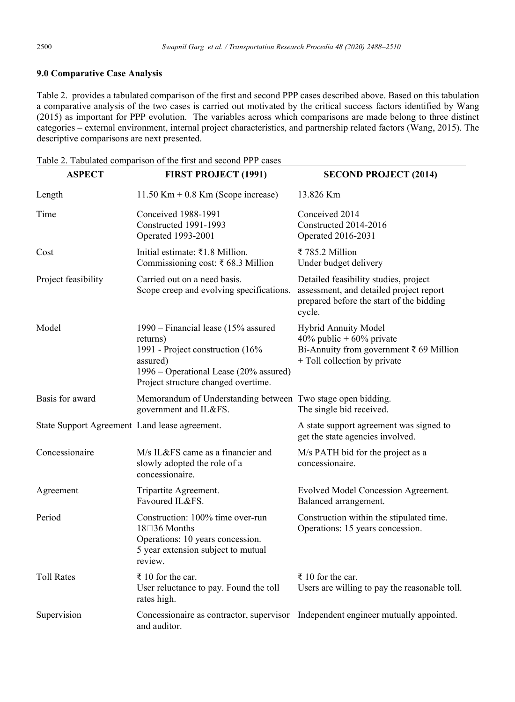## **9.0 Comparative Case Analysis**

Table 2. provides a tabulated comparison of the first and second PPP cases described above. Based on this tabulation a comparative analysis of the two cases is carried out motivated by the critical success factors identified by Wang (2015) as important for PPP evolution. The variables across which comparisons are made belong to three distinct categories – external environment, internal project characteristics, and partnership related factors (Wang, 2015). The descriptive comparisons are next presented.

| <b>ASPECT</b>                                 | <b>FIRST PROJECT (1991)</b>                                                                                                                                                      | <b>SECOND PROJECT (2014)</b>                                                                                                           |
|-----------------------------------------------|----------------------------------------------------------------------------------------------------------------------------------------------------------------------------------|----------------------------------------------------------------------------------------------------------------------------------------|
| Length                                        | $11.50$ Km + 0.8 Km (Scope increase)                                                                                                                                             | 13.826 Km                                                                                                                              |
| Time                                          | Conceived 1988-1991<br>Constructed 1991-1993<br>Operated 1993-2001                                                                                                               | Conceived 2014<br>Constructed 2014-2016<br>Operated 2016-2031                                                                          |
| Cost                                          | Initial estimate: ₹1.8 Million.<br>Commissioning cost: ₹ 68.3 Million                                                                                                            | ₹ 785.2 Million<br>Under budget delivery                                                                                               |
| Project feasibility                           | Carried out on a need basis.<br>Scope creep and evolving specifications.                                                                                                         | Detailed feasibility studies, project<br>assessment, and detailed project report<br>prepared before the start of the bidding<br>cycle. |
| Model                                         | 1990 – Financial lease (15% assured<br>returns)<br>1991 - Project construction (16%<br>assured)<br>1996 – Operational Lease (20% assured)<br>Project structure changed overtime. | Hybrid Annuity Model<br>40% public + $60\%$ private<br>Bi-Annuity from government ₹ 69 Million<br>+ Toll collection by private         |
| Basis for award                               | Memorandum of Understanding between Two stage open bidding.<br>government and IL&FS.                                                                                             | The single bid received.                                                                                                               |
| State Support Agreement Land lease agreement. |                                                                                                                                                                                  | A state support agreement was signed to<br>get the state agencies involved.                                                            |
| Concessionaire                                | M/s IL&FS came as a financier and<br>slowly adopted the role of a<br>concessionaire.                                                                                             | M/s PATH bid for the project as a<br>concessionaire.                                                                                   |
| Agreement                                     | Tripartite Agreement.<br>Favoured IL&FS.                                                                                                                                         | Evolved Model Concession Agreement.<br>Balanced arrangement.                                                                           |
| Period                                        | Construction: 100% time over-run<br>18□36 Months<br>Operations: 10 years concession.<br>5 year extension subject to mutual<br>review.                                            | Construction within the stipulated time.<br>Operations: 15 years concession.                                                           |
| <b>Toll Rates</b>                             | ₹ 10 for the car.<br>User reluctance to pay. Found the toll<br>rates high.                                                                                                       | ₹ 10 for the car.<br>Users are willing to pay the reasonable toll.                                                                     |
| Supervision                                   | and auditor.                                                                                                                                                                     | Concessionaire as contractor, supervisor Independent engineer mutually appointed.                                                      |

Table 2. Tabulated comparison of the first and second PPP cases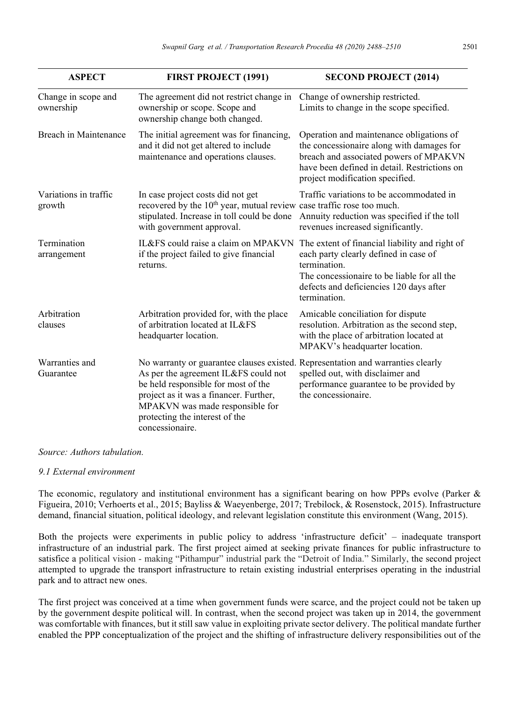| <b>ASPECT</b>                    | <b>FIRST PROJECT (1991)</b>                                                                                                                                                                                                                                                                      | <b>SECOND PROJECT (2014)</b>                                                                                                                                                                                       |
|----------------------------------|--------------------------------------------------------------------------------------------------------------------------------------------------------------------------------------------------------------------------------------------------------------------------------------------------|--------------------------------------------------------------------------------------------------------------------------------------------------------------------------------------------------------------------|
| Change in scope and<br>ownership | The agreement did not restrict change in<br>ownership or scope. Scope and<br>ownership change both changed.                                                                                                                                                                                      | Change of ownership restricted.<br>Limits to change in the scope specified.                                                                                                                                        |
| Breach in Maintenance            | The initial agreement was for financing,<br>and it did not get altered to include<br>maintenance and operations clauses.                                                                                                                                                                         | Operation and maintenance obligations of<br>the concessionaire along with damages for<br>breach and associated powers of MPAKVN<br>have been defined in detail. Restrictions on<br>project modification specified. |
| Variations in traffic<br>growth  | In case project costs did not get<br>recovered by the 10 <sup>th</sup> year, mutual review case traffic rose too much.<br>stipulated. Increase in toll could be done<br>with government approval.                                                                                                | Traffic variations to be accommodated in<br>Annuity reduction was specified if the toll<br>revenues increased significantly.                                                                                       |
| Termination<br>arrangement       | IL&FS could raise a claim on MPAKVN<br>if the project failed to give financial<br>returns.                                                                                                                                                                                                       | The extent of financial liability and right of<br>each party clearly defined in case of<br>termination.<br>The concessionaire to be liable for all the<br>defects and deficiencies 120 days after<br>termination.  |
| Arbitration<br>clauses           | Arbitration provided for, with the place<br>of arbitration located at IL&FS<br>headquarter location.                                                                                                                                                                                             | Amicable conciliation for dispute<br>resolution. Arbitration as the second step,<br>with the place of arbitration located at<br>MPAKV's headquarter location.                                                      |
| Warranties and<br>Guarantee      | No warranty or guarantee clauses existed. Representation and warranties clearly<br>As per the agreement IL&FS could not<br>be held responsible for most of the<br>project as it was a financer. Further,<br>MPAKVN was made responsible for<br>protecting the interest of the<br>concessionaire. | spelled out, with disclaimer and<br>performance guarantee to be provided by<br>the concessionaire.                                                                                                                 |

*Source: Authors tabulation.*

## *9.1 External environment*

The economic, regulatory and institutional environment has a significant bearing on how PPPs evolve (Parker & Figueira, 2010; Verhoerts et al., 2015; Bayliss & Waeyenberge, 2017; Trebilock, & Rosenstock, 2015). Infrastructure demand, financial situation, political ideology, and relevant legislation constitute this environment (Wang, 2015).

Both the projects were experiments in public policy to address 'infrastructure deficit' – inadequate transport infrastructure of an industrial park. The first project aimed at seeking private finances for public infrastructure to satisfice a political vision - making "Pithampur" industrial park the "Detroit of India." Similarly, the second project attempted to upgrade the transport infrastructure to retain existing industrial enterprises operating in the industrial park and to attract new ones.

The first project was conceived at a time when government funds were scarce, and the project could not be taken up by the government despite political will. In contrast, when the second project was taken up in 2014, the government was comfortable with finances, but it still saw value in exploiting private sector delivery. The political mandate further enabled the PPP conceptualization of the project and the shifting of infrastructure delivery responsibilities out of the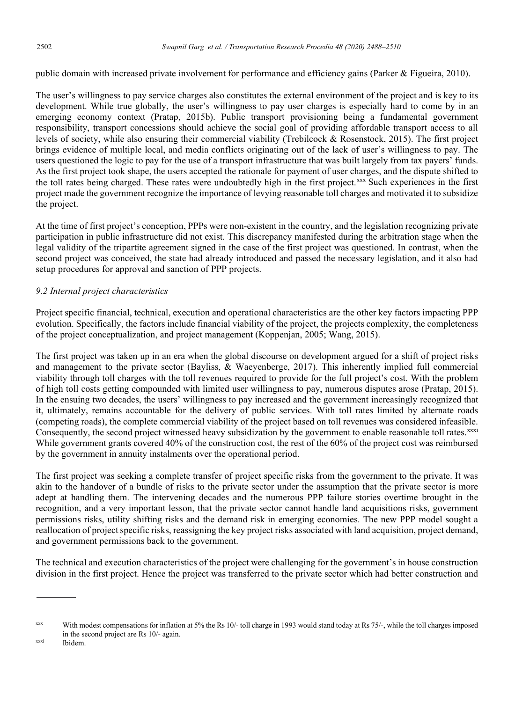public domain with increased private involvement for performance and efficiency gains (Parker & Figueira, 2010).

The user's willingness to pay service charges also constitutes the external environment of the project and is key to its development. While true globally, the user's willingness to pay user charges is especially hard to come by in an emerging economy context (Pratap, 2015b). Public transport provisioning being a fundamental government responsibility, transport concessions should achieve the social goal of providing affordable transport access to all levels of society, while also ensuring their commercial viability (Trebilcock & Rosenstock, 2015). The first project brings evidence of multiple local, and media conflicts originating out of the lack of user's willingness to pay. The users questioned the logic to pay for the use of a transport infrastructure that was built largely from tax payers' funds. As the first project took shape, the users accepted the rationale for payment of user charges, and the dispute shifted to the toll rates being charged. These rates were undoubtedly high in the first project.<sup>xxx</sup> Such experiences in the first project made the government recognize the importance of levying reasonable toll charges and motivated it to subsidize the project.

At the time of first project's conception, PPPs were non-existent in the country, and the legislation recognizing private participation in public infrastructure did not exist. This discrepancy manifested during the arbitration stage when the legal validity of the tripartite agreement signed in the case of the first project was questioned. In contrast, when the second project was conceived, the state had already introduced and passed the necessary legislation, and it also had setup procedures for approval and sanction of PPP projects.

### *9.2 Internal project characteristics*

Project specific financial, technical, execution and operational characteristics are the other key factors impacting PPP evolution. Specifically, the factors include financial viability of the project, the projects complexity, the completeness of the project conceptualization, and project management (Koppenjan, 2005; Wang, 2015).

The first project was taken up in an era when the global discourse on development argued for a shift of project risks and management to the private sector (Bayliss, & Waeyenberge, 2017). This inherently implied full commercial viability through toll charges with the toll revenues required to provide for the full project's cost. With the problem of high toll costs getting compounded with limited user willingness to pay, numerous disputes arose (Pratap, 2015). In the ensuing two decades, the users' willingness to pay increased and the government increasingly recognized that it, ultimately, remains accountable for the delivery of public services. With toll rates limited by alternate roads (competing roads), the complete commercial viability of the project based on toll revenues was considered infeasible. Consequently, the second project witnessed heavy subsidization by the government to enable reasonable toll rates.<sup>xxxi</sup> While government grants covered 40% of the construction cost, the rest of the 60% of the project cost was reimbursed by the government in annuity instalments over the operational period.

The first project was seeking a complete transfer of project specific risks from the government to the private. It was akin to the handover of a bundle of risks to the private sector under the assumption that the private sector is more adept at handling them. The intervening decades and the numerous PPP failure stories overtime brought in the recognition, and a very important lesson, that the private sector cannot handle land acquisitions risks, government permissions risks, utility shifting risks and the demand risk in emerging economies. The new PPP model sought a reallocation of project specific risks, reassigning the key project risks associated with land acquisition, project demand, and government permissions back to the government.

The technical and execution characteristics of the project were challenging for the government's in house construction division in the first project. Hence the project was transferred to the private sector which had better construction and

xxx With modest compensations for inflation at 5% the Rs 10/- toll charge in 1993 would stand today at Rs 75/-, while the toll charges imposed in the second project are Rs 10/- again.

Ibidem.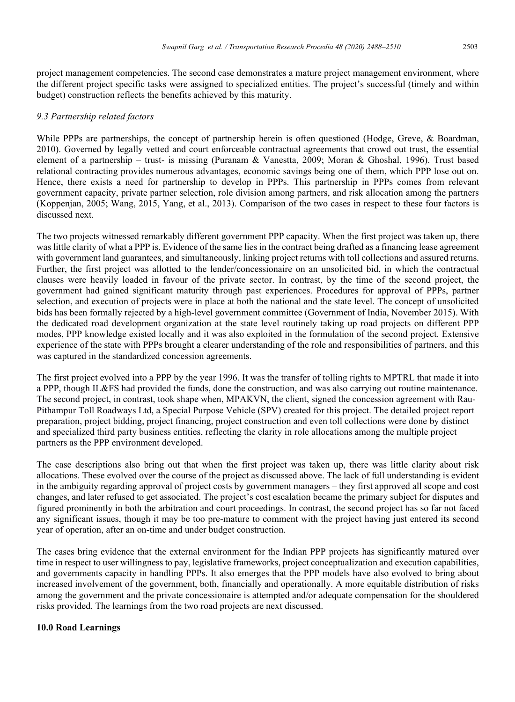project management competencies. The second case demonstrates a mature project management environment, where the different project specific tasks were assigned to specialized entities. The project's successful (timely and within budget) construction reflects the benefits achieved by this maturity.

## *9.3 Partnership related factors*

While PPPs are partnerships, the concept of partnership herein is often questioned (Hodge, Greve, & Boardman, 2010). Governed by legally vetted and court enforceable contractual agreements that crowd out trust, the essential element of a partnership – trust- is missing (Puranam & Vanestta, 2009; Moran & Ghoshal, 1996). Trust based relational contracting provides numerous advantages, economic savings being one of them, which PPP lose out on. Hence, there exists a need for partnership to develop in PPPs. This partnership in PPPs comes from relevant government capacity, private partner selection, role division among partners, and risk allocation among the partners (Koppenjan, 2005; Wang, 2015, Yang, et al., 2013). Comparison of the two cases in respect to these four factors is discussed next.

The two projects witnessed remarkably different government PPP capacity. When the first project was taken up, there was little clarity of what a PPP is. Evidence of the same lies in the contract being drafted as a financing lease agreement with government land guarantees, and simultaneously, linking project returns with toll collections and assured returns. Further, the first project was allotted to the lender/concessionaire on an unsolicited bid, in which the contractual clauses were heavily loaded in favour of the private sector. In contrast, by the time of the second project, the government had gained significant maturity through past experiences. Procedures for approval of PPPs, partner selection, and execution of projects were in place at both the national and the state level. The concept of unsolicited bids has been formally rejected by a high-level government committee (Government of India, November 2015). With the dedicated road development organization at the state level routinely taking up road projects on different PPP modes, PPP knowledge existed locally and it was also exploited in the formulation of the second project. Extensive experience of the state with PPPs brought a clearer understanding of the role and responsibilities of partners, and this was captured in the standardized concession agreements.

The first project evolved into a PPP by the year 1996. It was the transfer of tolling rights to MPTRL that made it into a PPP, though IL&FS had provided the funds, done the construction, and was also carrying out routine maintenance. The second project, in contrast, took shape when, MPAKVN, the client, signed the concession agreement with Rau-Pithampur Toll Roadways Ltd, a Special Purpose Vehicle (SPV) created for this project. The detailed project report preparation, project bidding, project financing, project construction and even toll collections were done by distinct and specialized third party business entities, reflecting the clarity in role allocations among the multiple project partners as the PPP environment developed.

The case descriptions also bring out that when the first project was taken up, there was little clarity about risk allocations. These evolved over the course of the project as discussed above. The lack of full understanding is evident in the ambiguity regarding approval of project costs by government managers – they first approved all scope and cost changes, and later refused to get associated. The project's cost escalation became the primary subject for disputes and figured prominently in both the arbitration and court proceedings. In contrast, the second project has so far not faced any significant issues, though it may be too pre-mature to comment with the project having just entered its second year of operation, after an on-time and under budget construction.

The cases bring evidence that the external environment for the Indian PPP projects has significantly matured over time in respect to user willingness to pay, legislative frameworks, project conceptualization and execution capabilities, and governments capacity in handling PPPs. It also emerges that the PPP models have also evolved to bring about increased involvement of the government, both, financially and operationally. A more equitable distribution of risks among the government and the private concessionaire is attempted and/or adequate compensation for the shouldered risks provided. The learnings from the two road projects are next discussed.

### **10.0 Road Learnings**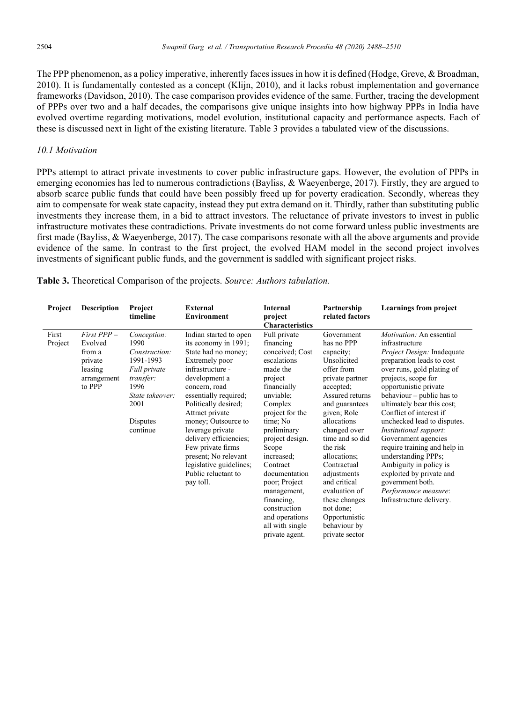The PPP phenomenon, as a policy imperative, inherently faces issues in how it is defined (Hodge, Greve, & Broadman, 2010). It is fundamentally contested as a concept (Klijn, 2010), and it lacks robust implementation and governance frameworks (Davidson, 2010). The case comparison provides evidence of the same. Further, tracing the development of PPPs over two and a half decades, the comparisons give unique insights into how highway PPPs in India have evolved overtime regarding motivations, model evolution, institutional capacity and performance aspects. Each of these is discussed next in light of the existing literature. Table 3 provides a tabulated view of the discussions.

#### *10.1 Motivation*

PPPs attempt to attract private investments to cover public infrastructure gaps. However, the evolution of PPPs in emerging economies has led to numerous contradictions (Bayliss, & Waeyenberge, 2017). Firstly, they are argued to absorb scarce public funds that could have been possibly freed up for poverty eradication. Secondly, whereas they aim to compensate for weak state capacity, instead they put extra demand on it. Thirdly, rather than substituting public investments they increase them, in a bid to attract investors. The reluctance of private investors to invest in public infrastructure motivates these contradictions. Private investments do not come forward unless public investments are first made (Bayliss, & Waeyenberge, 2017). The case comparisons resonate with all the above arguments and provide evidence of the same. In contrast to the first project, the evolved HAM model in the second project involves investments of significant public funds, and the government is saddled with significant project risks.

**Table 3.** Theoretical Comparison of the projects. *Source: Authors tabulation.*

| Project          | <b>Description</b>                                                             | Project<br>timeline                                                                                                                                     | <b>External</b><br>Environment                                                                                                                                                                                                                                                                                                                                                                     | <b>Internal</b><br>project<br><b>Characteristics</b>                                                                                                                                                                                                                                                                                              | Partnership<br>related factors                                                                                                                                                                                                                                                                                                                                     | <b>Learnings from project</b>                                                                                                                                                                                                                                                                                                                                                                                                                                                                                                                         |
|------------------|--------------------------------------------------------------------------------|---------------------------------------------------------------------------------------------------------------------------------------------------------|----------------------------------------------------------------------------------------------------------------------------------------------------------------------------------------------------------------------------------------------------------------------------------------------------------------------------------------------------------------------------------------------------|---------------------------------------------------------------------------------------------------------------------------------------------------------------------------------------------------------------------------------------------------------------------------------------------------------------------------------------------------|--------------------------------------------------------------------------------------------------------------------------------------------------------------------------------------------------------------------------------------------------------------------------------------------------------------------------------------------------------------------|-------------------------------------------------------------------------------------------------------------------------------------------------------------------------------------------------------------------------------------------------------------------------------------------------------------------------------------------------------------------------------------------------------------------------------------------------------------------------------------------------------------------------------------------------------|
| First<br>Project | First PPP-<br>Evolved<br>from a<br>private<br>leasing<br>arrangement<br>to PPP | Conception:<br>1990<br>Construction:<br>1991-1993<br><b>Full private</b><br><i>transfer:</i><br>1996<br>State takeover:<br>2001<br>Disputes<br>continue | Indian started to open<br>its economy in 1991;<br>State had no money;<br>Extremely poor<br>infrastructure -<br>development a<br>concern, road<br>essentially required;<br>Politically desired;<br>Attract private<br>money; Outsource to<br>leverage private<br>delivery efficiencies;<br>Few private firms<br>present; No relevant<br>legislative guidelines;<br>Public reluctant to<br>pay toll. | Full private<br>financing<br>conceived; Cost<br>escalations<br>made the<br>project<br>financially<br>unviable;<br>Complex<br>project for the<br>time; No<br>preliminary<br>project design.<br>Scope<br>increased:<br>Contract<br>documentation<br>poor; Project<br>management,<br>financing,<br>construction<br>and operations<br>all with single | Government<br>has no PPP<br>capacity;<br>Unsolicited<br>offer from<br>private partner<br>accepted;<br>Assured returns<br>and guarantees<br>given; Role<br>allocations<br>changed over<br>time and so did<br>the risk<br>allocations;<br>Contractual<br>adjustments<br>and critical<br>evaluation of<br>these changes<br>not done:<br>Opportunistic<br>behaviour by | <i>Motivation:</i> An essential<br>infrastructure<br>Project Design: Inadequate<br>preparation leads to cost<br>over runs, gold plating of<br>projects, scope for<br>opportunistic private<br>behaviour – public has to<br>ultimately bear this cost;<br>Conflict of interest if<br>unchecked lead to disputes.<br>Institutional support:<br>Government agencies<br>require training and help in<br>understanding PPPs;<br>Ambiguity in policy is<br>exploited by private and<br>government both.<br>Performance measure:<br>Infrastructure delivery. |
|                  |                                                                                |                                                                                                                                                         |                                                                                                                                                                                                                                                                                                                                                                                                    | private agent.                                                                                                                                                                                                                                                                                                                                    | private sector                                                                                                                                                                                                                                                                                                                                                     |                                                                                                                                                                                                                                                                                                                                                                                                                                                                                                                                                       |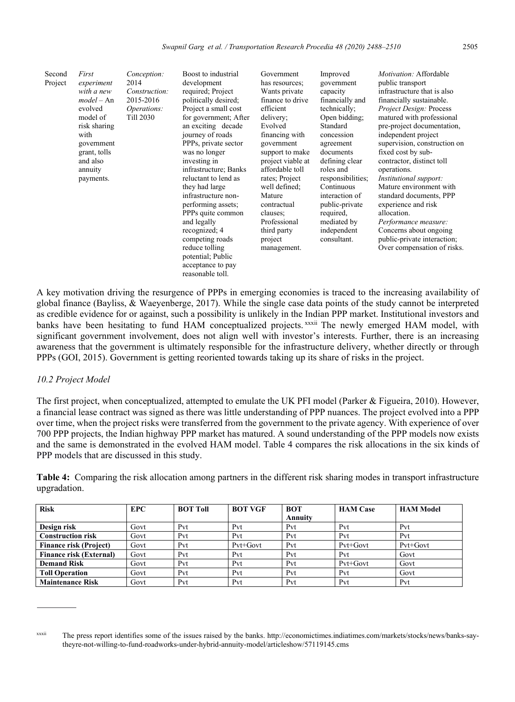| Second<br>Project | First<br>experiment<br>with a new<br>$model - An$<br>evolved<br>model of<br>risk sharing<br>with<br>government<br>grant, tolls<br>and also<br>annuity<br>payments. | Conception:<br>2014<br>Construction:<br>2015-2016<br>Operations:<br>Till 2030 | Boost to industrial<br>development<br>required; Project<br>politically desired;<br>Project a small cost<br>for government; After<br>an exciting decade<br>journey of roads<br>PPPs, private sector<br>was no longer<br>investing in<br>infrastructure; Banks<br>reluctant to lend as<br>they had large<br>infrastructure non-<br>performing assets;<br>PPPs quite common<br>and legally<br>recognized; 4<br>competing roads<br>reduce tolling<br>potential; Public<br>acceptance to pay<br>reasonable toll. | Government<br>has resources;<br>Wants private<br>finance to drive<br>efficient<br>delivery;<br>Evolved<br>financing with<br>government<br>support to make<br>project viable at<br>affordable toll<br>rates; Project<br>well defined;<br>Mature<br>contractual<br>clauses;<br>Professional<br>third party<br>project<br>management. | Improved<br>government<br>capacity<br>financially and<br>technically;<br>Open bidding;<br>Standard<br>concession<br>agreement<br>documents<br>defining clear<br>roles and<br>responsibilities;<br>Continuous<br>interaction of<br>public-private<br>required,<br>mediated by<br>independent<br>consultant. | Motivation: Affordable<br>public transport<br>infrastructure that is also<br>financially sustainable.<br>Project Design: Process<br>matured with professional<br>pre-project documentation,<br>independent project<br>supervision, construction on<br>fixed cost by sub-<br>contractor, distinct toll<br>operations.<br>Institutional support:<br>Mature environment with<br>standard documents, PPP<br>experience and risk<br>allocation.<br>Performance measure:<br>Concerns about ongoing<br>public-private interaction;<br>Over compensation of risks. |
|-------------------|--------------------------------------------------------------------------------------------------------------------------------------------------------------------|-------------------------------------------------------------------------------|-------------------------------------------------------------------------------------------------------------------------------------------------------------------------------------------------------------------------------------------------------------------------------------------------------------------------------------------------------------------------------------------------------------------------------------------------------------------------------------------------------------|------------------------------------------------------------------------------------------------------------------------------------------------------------------------------------------------------------------------------------------------------------------------------------------------------------------------------------|------------------------------------------------------------------------------------------------------------------------------------------------------------------------------------------------------------------------------------------------------------------------------------------------------------|------------------------------------------------------------------------------------------------------------------------------------------------------------------------------------------------------------------------------------------------------------------------------------------------------------------------------------------------------------------------------------------------------------------------------------------------------------------------------------------------------------------------------------------------------------|
|-------------------|--------------------------------------------------------------------------------------------------------------------------------------------------------------------|-------------------------------------------------------------------------------|-------------------------------------------------------------------------------------------------------------------------------------------------------------------------------------------------------------------------------------------------------------------------------------------------------------------------------------------------------------------------------------------------------------------------------------------------------------------------------------------------------------|------------------------------------------------------------------------------------------------------------------------------------------------------------------------------------------------------------------------------------------------------------------------------------------------------------------------------------|------------------------------------------------------------------------------------------------------------------------------------------------------------------------------------------------------------------------------------------------------------------------------------------------------------|------------------------------------------------------------------------------------------------------------------------------------------------------------------------------------------------------------------------------------------------------------------------------------------------------------------------------------------------------------------------------------------------------------------------------------------------------------------------------------------------------------------------------------------------------------|

A key motivation driving the resurgence of PPPs in emerging economies is traced to the increasing availability of global finance (Bayliss, & Waeyenberge, 2017). While the single case data points of the study cannot be interpreted as credible evidence for or against, such a possibility is unlikely in the Indian PPP market. Institutional investors and banks have been hesitating to fund HAM conceptualized projects. xxxii The newly emerged HAM model, with significant government involvement, does not align well with investor's interests. Further, there is an increasing awareness that the government is ultimately responsible for the infrastructure delivery, whether directly or through PPPs (GOI, 2015). Government is getting reoriented towards taking up its share of risks in the project.

### *10.2 Project Model*

The first project, when conceptualized, attempted to emulate the UK PFI model (Parker & Figueira, 2010). However, a financial lease contract was signed as there was little understanding of PPP nuances. The project evolved into a PPP over time, when the project risks were transferred from the government to the private agency. With experience of over 700 PPP projects, the Indian highway PPP market has matured. A sound understanding of the PPP models now exists and the same is demonstrated in the evolved HAM model. Table 4 compares the risk allocations in the six kinds of PPP models that are discussed in this study.

**Table 4:** Comparing the risk allocation among partners in the different risk sharing modes in transport infrastructure upgradation.

| <b>Risk</b>                    | EPC. | <b>BOT Toll</b> | <b>BOT VGF</b> | <b>BOT</b> | <b>HAM Case</b> | <b>HAM Model</b> |
|--------------------------------|------|-----------------|----------------|------------|-----------------|------------------|
|                                |      |                 |                | Annuity    |                 |                  |
| Design risk                    | Govt | Pvt             | Pvt            | Pvt        | Pvt             | Pvt              |
| <b>Construction risk</b>       | Govt | Pvt             | Pvt            | Pvt        | Pvt             | Pvt              |
| <b>Finance risk (Project)</b>  | Govt | Pvt             | $Pvt + Govt$   | Pvt        | Pvt+Govt        | Pvt+Govt         |
| <b>Finance risk (External)</b> | Govt | Pvt             | Pvt            | Pvt        | Pvt             | Govt             |
| <b>Demand Risk</b>             | Govt | Pvt             | Pvt            | Pvt        | Pvt+Govt        | Govt             |
| <b>Toll Operation</b>          | Govt | Pvt             | Pvt            | Pvt        | Pvt             | Govt             |
| <b>Maintenance Risk</b>        | Govt | Pvt             | Pvt            | Pvt        | Pvt             | Pvt              |

xxxii The press report identifies some of the issues raised by the banks. http://economictimes.indiatimes.com/markets/stocks/news/banks-saytheyre-not-willing-to-fund-roadworks-under-hybrid-annuity-model/articleshow/57119145.cms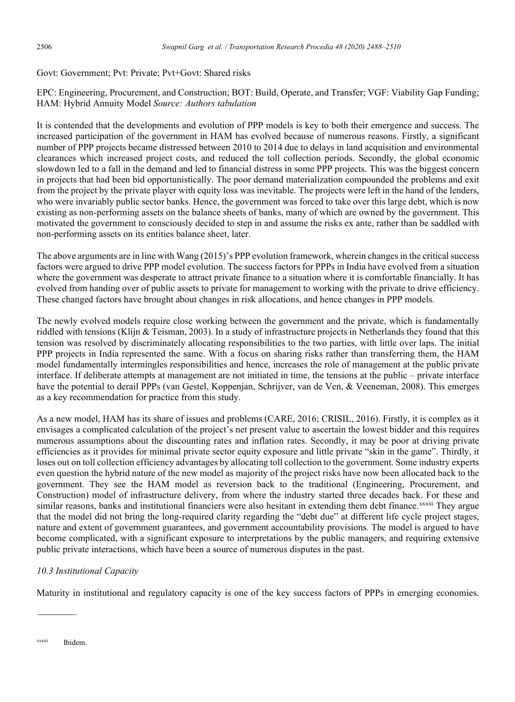### Govt: Government; Pvt: Private; Pvt+Govt: Shared risks

EPC: Engineering, Procurement, and Construction; BOT: Build, Operate, and Transfer; VGF: Viability Gap Funding; HAM: Hybrid Annuity Model *Source: Authors tabulation*

It is contended that the developments and evolution of PPP models is key to both their emergence and success. The increased participation of the government in HAM has evolved because of numerous reasons. Firstly, a significant number of PPP projects became distressed between 2010 to 2014 due to delays in land acquisition and environmental clearances which increased project costs, and reduced the toll collection periods. Secondly, the global economic slowdown led to a fall in the demand and led to financial distress in some PPP projects. This was the biggest concern in projects that had been bid opportunistically. The poor demand materialization compounded the problems and exit from the project by the private player with equity loss was inevitable. The projects were left in the hand of the lenders, who were invariably public sector banks. Hence, the government was forced to take over this large debt, which is now existing as non-performing assets on the balance sheets of banks, many of which are owned by the government. This motivated the government to consciously decided to step in and assume the risks ex ante, rather than be saddled with non-performing assets on its entities balance sheet, later.

The above arguments are in line with Wang (2015)'s PPP evolution framework, wherein changes in the critical success factors were argued to drive PPP model evolution. The success factors for PPPs in India have evolved from a situation where the government was desperate to attract private finance to a situation where it is comfortable financially. It has evolved from handing over of public assets to private for management to working with the private to drive efficiency. These changed factors have brought about changes in risk allocations, and hence changes in PPP models.

The newly evolved models require close working between the government and the private, which is fundamentally riddled with tensions (Klijn & Teisman, 2003). In a study of infrastructure projects in Netherlands they found that this tension was resolved by discriminately allocating responsibilities to the two parties, with little over laps. The initial PPP projects in India represented the same. With a focus on sharing risks rather than transferring them, the HAM model fundamentally intermingles responsibilities and hence, increases the role of management at the public private interface. If deliberate attempts at management are not initiated in time, the tensions at the public – private interface have the potential to derail PPPs (van Gestel, Koppenjan, Schrijver, van de Ven, & Veeneman, 2008). This emerges as a key recommendation for practice from this study.

As a new model, HAM has its share of issues and problems (CARE, 2016; CRISIL, 2016). Firstly, it is complex as it envisages a complicated calculation of the project's net present value to ascertain the lowest bidder and this requires numerous assumptions about the discounting rates and inflation rates. Secondly, it may be poor at driving private efficiencies as it provides for minimal private sector equity exposure and little private "skin in the game". Thirdly, it loses out on toll collection efficiency advantages by allocating toll collection to the government. Some industry experts even question the hybrid nature of the new model as majority of the project risks have now been allocated back to the government. They see the HAM model as reversion back to the traditional (Engineering, Procurement, and Construction) model of infrastructure delivery, from where the industry started three decades back. For these and similar reasons, banks and institutional financiers were also hesitant in extending them debt finance. xxxiii They argue that the model did not bring the long-required clarity regarding the "debt due" at different life cycle project stages, nature and extent of government guarantees, and government accountability provisions. The model is argued to have become complicated, with a significant exposure to interpretations by the public managers, and requiring extensive public private interactions, which have been a source of numerous disputes in the past.

# *10.3 Institutional Capacity*

Maturity in institutional and regulatory capacity is one of the key success factors of PPPs in emerging economies.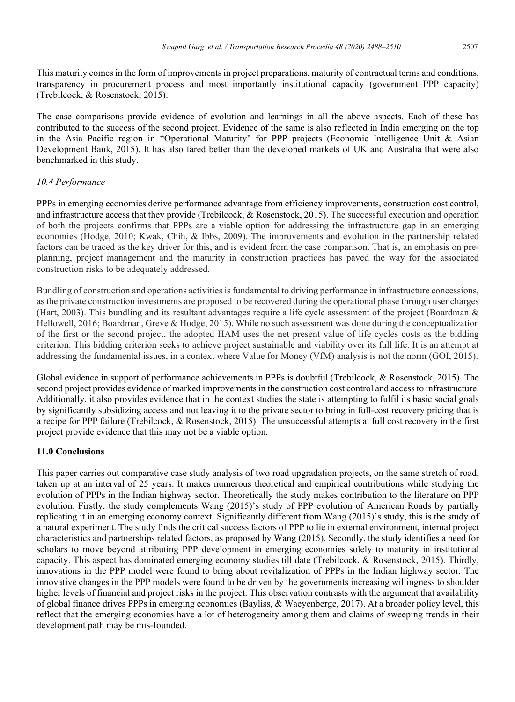This maturity comes in the form of improvements in project preparations, maturity of contractual terms and conditions, transparency in procurement process and most importantly institutional capacity (government PPP capacity) (Trebilcock, & Rosenstock, 2015).

The case comparisons provide evidence of evolution and learnings in all the above aspects. Each of these has contributed to the success of the second project. Evidence of the same is also reflected in India emerging on the top in the Asia Pacific region in "Operational Maturity" for PPP projects (Economic Intelligence Unit & Asian Development Bank, 2015). It has also fared better than the developed markets of UK and Australia that were also benchmarked in this study.

# *10.4 Performance*

PPPs in emerging economies derive performance advantage from efficiency improvements, construction cost control, and infrastructure access that they provide (Trebilcock, & Rosenstock, 2015). The successful execution and operation of both the projects confirms that PPPs are a viable option for addressing the infrastructure gap in an emerging economies (Hodge, 2010; Kwak, Chih, & Ibbs, 2009). The improvements and evolution in the partnership related factors can be traced as the key driver for this, and is evident from the case comparison. That is, an emphasis on preplanning, project management and the maturity in construction practices has paved the way for the associated construction risks to be adequately addressed.

Bundling of construction and operations activities is fundamental to driving performance in infrastructure concessions, as the private construction investments are proposed to be recovered during the operational phase through user charges (Hart, 2003). This bundling and its resultant advantages require a life cycle assessment of the project (Boardman & Hellowell, 2016; Boardman, Greve & Hodge, 2015). While no such assessment was done during the conceptualization of the first or the second project, the adopted HAM uses the net present value of life cycles costs as the bidding criterion. This bidding criterion seeks to achieve project sustainable and viability over its full life. It is an attempt at addressing the fundamental issues, in a context where Value for Money (VfM) analysis is not the norm (GOI, 2015).

Global evidence in support of performance achievements in PPPs is doubtful (Trebilcock, & Rosenstock, 2015). The second project provides evidence of marked improvements in the construction cost control and access to infrastructure. Additionally, it also provides evidence that in the context studies the state is attempting to fulfil its basic social goals by significantly subsidizing access and not leaving it to the private sector to bring in full-cost recovery pricing that is a recipe for PPP failure (Trebilcock, & Rosenstock, 2015). The unsuccessful attempts at full cost recovery in the first project provide evidence that this may not be a viable option.

# **11.0 Conclusions**

This paper carries out comparative case study analysis of two road upgradation projects, on the same stretch of road, taken up at an interval of 25 years. It makes numerous theoretical and empirical contributions while studying the evolution of PPPs in the Indian highway sector. Theoretically the study makes contribution to the literature on PPP evolution. Firstly, the study complements Wang (2015)'s study of PPP evolution of American Roads by partially replicating it in an emerging economy context. Significantly different from Wang (2015)'s study, this is the study of a natural experiment. The study finds the critical success factors of PPP to lie in external environment, internal project characteristics and partnerships related factors, as proposed by Wang (2015). Secondly, the study identifies a need for scholars to move beyond attributing PPP development in emerging economies solely to maturity in institutional capacity. This aspect has dominated emerging economy studies till date (Trebilcock, & Rosenstock, 2015). Thirdly, innovations in the PPP model were found to bring about revitalization of PPPs in the Indian highway sector. The innovative changes in the PPP models were found to be driven by the governments increasing willingness to shoulder higher levels of financial and project risks in the project. This observation contrasts with the argument that availability of global finance drives PPPs in emerging economies (Bayliss, & Waeyenberge, 2017). At a broader policy level, this reflect that the emerging economies have a lot of heterogeneity among them and claims of sweeping trends in their development path may be mis-founded.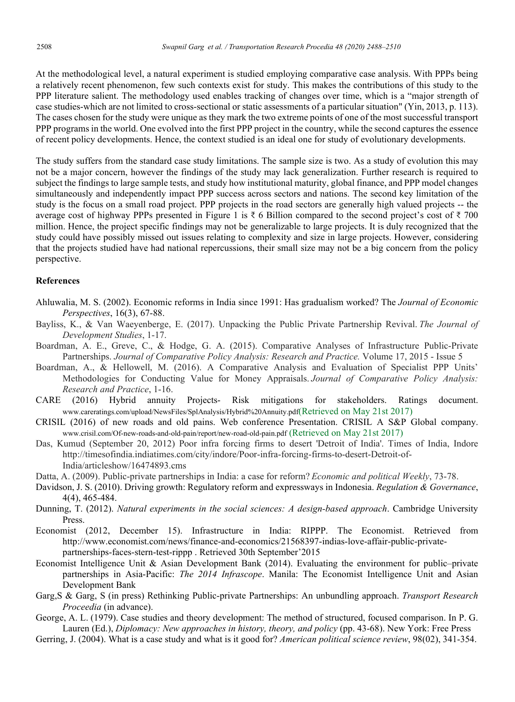At the methodological level, a natural experiment is studied employing comparative case analysis. With PPPs being a relatively recent phenomenon, few such contexts exist for study. This makes the contributions of this study to the PPP literature salient. The methodology used enables tracking of changes over time, which is a "major strength of case studies-which are not limited to cross-sectional or static assessments of a particular situation" (Yin, 2013, p. 113). The cases chosen for the study were unique as they mark the two extreme points of one of the most successful transport PPP programs in the world. One evolved into the first PPP project in the country, while the second captures the essence of recent policy developments. Hence, the context studied is an ideal one for study of evolutionary developments.

The study suffers from the standard case study limitations. The sample size is two. As a study of evolution this may not be a major concern, however the findings of the study may lack generalization. Further research is required to subject the findings to large sample tests, and study how institutional maturity, global finance, and PPP model changes simultaneously and independently impact PPP success across sectors and nations. The second key limitation of the study is the focus on a small road project. PPP projects in the road sectors are generally high valued projects -- the average cost of highway PPPs presented in Figure 1 is  $\bar{\tau}$  6 Billion compared to the second project's cost of  $\bar{\tau}$  700 million. Hence, the project specific findings may not be generalizable to large projects. It is duly recognized that the study could have possibly missed out issues relating to complexity and size in large projects. However, considering that the projects studied have had national repercussions, their small size may not be a big concern from the policy perspective.

## **References**

- Ahluwalia, M. S. (2002). Economic reforms in India since 1991: Has gradualism worked? The *Journal of Economic Perspectives*, 16(3), 67-88.
- Bayliss, K., & Van Waeyenberge, E. (2017). Unpacking the Public Private Partnership Revival. *The Journal of Development Studies*, 1-17.
- Boardman, A. E., Greve, C., & Hodge, G. A. (2015). Comparative Analyses of Infrastructure Public-Private Partnerships. *Journal of Comparative Policy Analysis: Research and Practice.* Volume 17, 2015 - Issue 5
- Boardman, A., & Hellowell, M. (2016). A Comparative Analysis and Evaluation of Specialist PPP Units' Methodologies for Conducting Value for Money Appraisals. *Journal of Comparative Policy Analysis: Research and Practice*, 1-16.
- CARE (2016) Hybrid annuity Projects- Risk mitigations for stakeholders. Ratings document. www.careratings.com/upload/NewsFiles/SplAnalysis/Hybrid%20Annuity.pdf(Retrieved on May 21st 2017)
- CRISIL (2016) of new roads and old pains. Web conference Presentation. CRISIL A S&P Global company. www.crisil.com/Of-new-roads-and-old-pain/report/new-road-old-pain.pdf (Retrieved on May 21st 2017)
- Das, Kumud (September 20, 2012) Poor infra forcing firms to desert 'Detroit of India'. Times of India, Indore http://timesofindia.indiatimes.com/city/indore/Poor-infra-forcing-firms-to-desert-Detroit-of-India/articleshow/16474893.cms
- Datta, A. (2009). Public-private partnerships in India: a case for reform? *Economic and political Weekly*, 73-78.
- Davidson, J. S. (2010). Driving growth: Regulatory reform and expressways in Indonesia. *Regulation & Governance*, 4(4), 465-484.
- Dunning, T. (2012). *Natural experiments in the social sciences: A design-based approach*. Cambridge University Press.
- Economist (2012, December 15). Infrastructure in India: RIPPP. The Economist. Retrieved from http://www.economist.com/news/finance-and-economics/21568397-indias-love-affair-public-privatepartnerships-faces-stern-test-rippp . Retrieved 30th September'2015
- Economist Intelligence Unit & Asian Development Bank (2014). Evaluating the environment for public–private partnerships in Asia-Pacific: *The 2014 Infrascope*. Manila: The Economist Intelligence Unit and Asian Development Bank
- Garg,S & Garg, S (in press) Rethinking Public-private Partnerships: An unbundling approach. *Transport Research Proceedia* (in advance).
- George, A. L. (1979). Case studies and theory development: The method of structured, focused comparison. In P. G. Lauren (Ed.), *Diplomacy: New approaches in history, theory, and policy* (pp. 43-68). New York: Free Press
- Gerring, J. (2004). What is a case study and what is it good for? *American political science review*, 98(02), 341-354.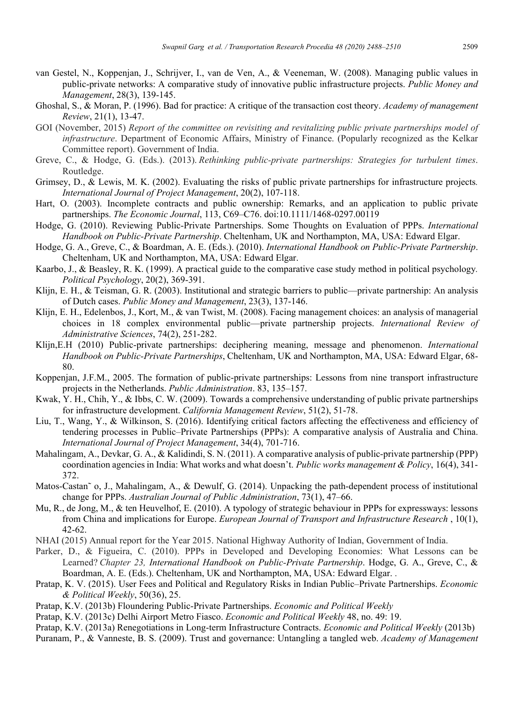- van Gestel, N., Koppenjan, J., Schrijver, I., van de Ven, A., & Veeneman, W. (2008). Managing public values in public-private networks: A comparative study of innovative public infrastructure projects. *Public Money and Management*, 28(3), 139-145.
- Ghoshal, S., & Moran, P. (1996). Bad for practice: A critique of the transaction cost theory. *Academy of management Review*, 21(1), 13-47.
- GOI (November, 2015) *Report of the committee on revisiting and revitalizing public private partnerships model of infrastructure*. Department of Economic Affairs, Ministry of Finance. (Popularly recognized as the Kelkar Committee report). Government of India.
- Greve, C., & Hodge, G. (Eds.). (2013). *Rethinking public-private partnerships: Strategies for turbulent times*. Routledge.
- Grimsey, D., & Lewis, M. K. (2002). Evaluating the risks of public private partnerships for infrastructure projects*. International Journal of Project Management*, 20(2), 107-118.
- Hart, O. (2003). Incomplete contracts and public ownership: Remarks, and an application to public private partnerships. *The Economic Journal*, 113, C69–C76. doi:10.1111/1468-0297.00119
- Hodge, G. (2010). Reviewing Public-Private Partnerships. Some Thoughts on Evaluation of PPPs. *International Handbook on Public-Private Partnership*. Cheltenham, UK and Northampton, MA, USA: Edward Elgar.
- Hodge, G. A., Greve, C., & Boardman, A. E. (Eds.). (2010). *International Handbook on Public-Private Partnership*. Cheltenham, UK and Northampton, MA, USA: Edward Elgar.
- Kaarbo, J., & Beasley, R. K. (1999). A practical guide to the comparative case study method in political psychology*. Political Psychology*, 20(2), 369-391.
- Klijn, E. H., & Teisman, G. R. (2003). Institutional and strategic barriers to public—private partnership: An analysis of Dutch cases. *Public Money and Management*, 23(3), 137-146.
- Klijn, E. H., Edelenbos, J., Kort, M., & van Twist, M. (2008). Facing management choices: an analysis of managerial choices in 18 complex environmental public—private partnership projects. *International Review of Administrative Sciences*, 74(2), 251-282.
- Klijn,E.H (2010) Public-private partnerships: deciphering meaning, message and phenomenon. *International Handbook on Public-Private Partnerships*, Cheltenham, UK and Northampton, MA, USA: Edward Elgar, 68- 80.
- Koppenjan, J.F.M., 2005. The formation of public-private partnerships: Lessons from nine transport infrastructure projects in the Netherlands. *Public Administration*. 83, 135–157.
- Kwak, Y. H., Chih, Y., & Ibbs, C. W. (2009). Towards a comprehensive understanding of public private partnerships for infrastructure development. *California Management Review*, 51(2), 51-78.
- Liu, T., Wang, Y., & Wilkinson, S. (2016). Identifying critical factors affecting the effectiveness and efficiency of tendering processes in Public–Private Partnerships (PPPs): A comparative analysis of Australia and China. *International Journal of Project Management*, 34(4), 701-716.
- Mahalingam, A., Devkar, G. A., & Kalidindi, S. N. (2011). A comparative analysis of public-private partnership (PPP) coordination agencies in India: What works and what doesn't. *Public works management & Policy*, 16(4), 341- 372.
- Matos-Castan˜ o, J., Mahalingam, A., & Dewulf, G. (2014). Unpacking the path-dependent process of institutional change for PPPs. *Australian Journal of Public Administration*, 73(1), 47–66.
- Mu, R., de Jong, M., & ten Heuvelhof, E. (2010). A typology of strategic behaviour in PPPs for expressways: lessons from China and implications for Europe. *European Journal of Transport and Infrastructure Research* , 10(1), 42-62.
- NHAI (2015) Annual report for the Year 2015. National Highway Authority of Indian, Government of India.
- Parker, D., & Figueira, C. (2010). PPPs in Developed and Developing Economies: What Lessons can be Learned? *Chapter 23, International Handbook on Public-Private Partnership*. Hodge, G. A., Greve, C., & Boardman, A. E. (Eds.). Cheltenham, UK and Northampton, MA, USA: Edward Elgar. .
- Pratap, K. V. (2015). User Fees and Political and Regulatory Risks in Indian Public–Private Partnerships. *Economic & Political Weekly*, 50(36), 25.
- Pratap, K.V. (2013b) Floundering Public-Private Partnerships. *Economic and Political Weekly*
- Pratap, K.V. (2013c) Delhi Airport Metro Fiasco. *Economic and Political Weekly* 48, no. 49: 19.
- Pratap, K.V. (2013a) Renegotiations in Long-term Infrastructure Contracts. *Economic and Political Weekly* (2013b)
- Puranam, P., & Vanneste, B. S. (2009). Trust and governance: Untangling a tangled web. *Academy of Management*